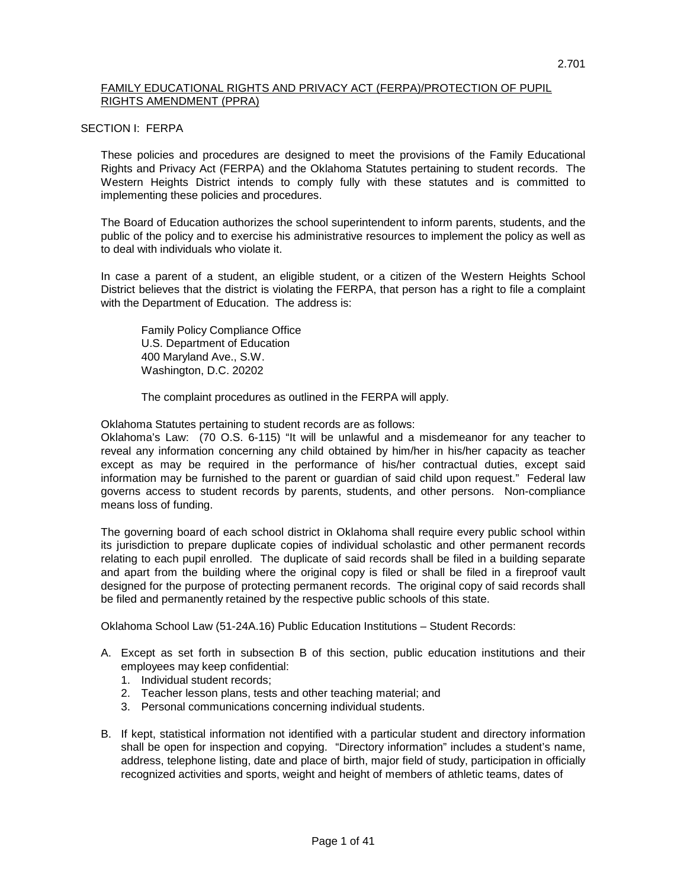## FAMILY EDUCATIONAL RIGHTS AND PRIVACY ACT (FERPA)/PROTECTION OF PUPIL RIGHTS AMENDMENT (PPRA)

#### SECTION I: FERPA

These policies and procedures are designed to meet the provisions of the Family Educational Rights and Privacy Act (FERPA) and the Oklahoma Statutes pertaining to student records. The Western Heights District intends to comply fully with these statutes and is committed to implementing these policies and procedures.

The Board of Education authorizes the school superintendent to inform parents, students, and the public of the policy and to exercise his administrative resources to implement the policy as well as to deal with individuals who violate it.

In case a parent of a student, an eligible student, or a citizen of the Western Heights School District believes that the district is violating the FERPA, that person has a right to file a complaint with the Department of Education. The address is:

Family Policy Compliance Office U.S. Department of Education 400 Maryland Ave., S.W. Washington, D.C. 20202

The complaint procedures as outlined in the FERPA will apply.

Oklahoma Statutes pertaining to student records are as follows:

Oklahoma's Law: (70 O.S. 6-115) "It will be unlawful and a misdemeanor for any teacher to reveal any information concerning any child obtained by him/her in his/her capacity as teacher except as may be required in the performance of his/her contractual duties, except said information may be furnished to the parent or guardian of said child upon request." Federal law governs access to student records by parents, students, and other persons. Non-compliance means loss of funding.

The governing board of each school district in Oklahoma shall require every public school within its jurisdiction to prepare duplicate copies of individual scholastic and other permanent records relating to each pupil enrolled. The duplicate of said records shall be filed in a building separate and apart from the building where the original copy is filed or shall be filed in a fireproof vault designed for the purpose of protecting permanent records. The original copy of said records shall be filed and permanently retained by the respective public schools of this state.

Oklahoma School Law (51-24A.16) Public Education Institutions – Student Records:

- A. Except as set forth in subsection B of this section, public education institutions and their employees may keep confidential:
	- 1. Individual student records;
	- 2. Teacher lesson plans, tests and other teaching material; and
	- 3. Personal communications concerning individual students.
- B. If kept, statistical information not identified with a particular student and directory information shall be open for inspection and copying. "Directory information" includes a student's name, address, telephone listing, date and place of birth, major field of study, participation in officially recognized activities and sports, weight and height of members of athletic teams, dates of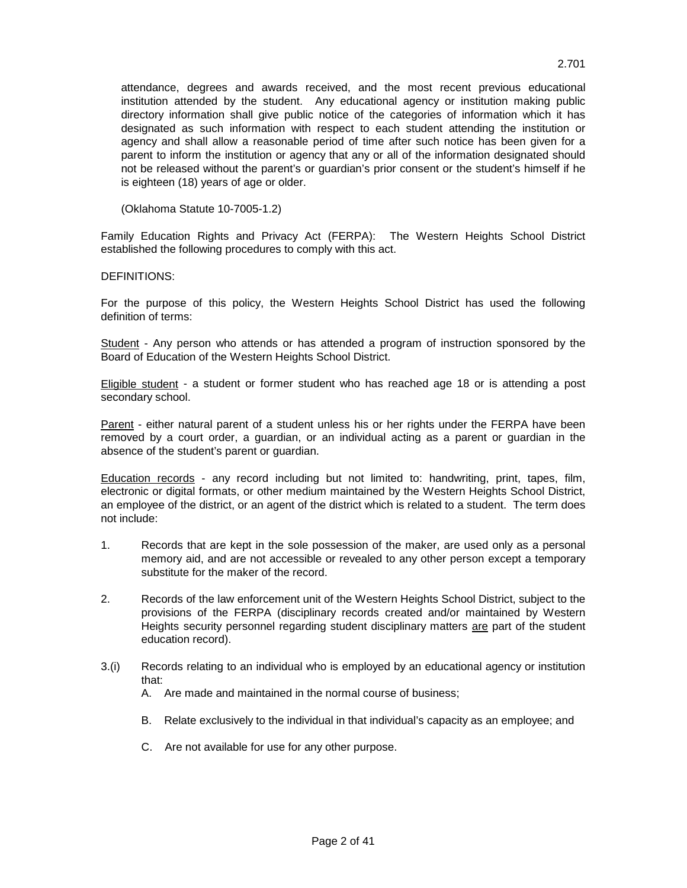attendance, degrees and awards received, and the most recent previous educational institution attended by the student. Any educational agency or institution making public directory information shall give public notice of the categories of information which it has designated as such information with respect to each student attending the institution or agency and shall allow a reasonable period of time after such notice has been given for a parent to inform the institution or agency that any or all of the information designated should not be released without the parent's or guardian's prior consent or the student's himself if he is eighteen (18) years of age or older.

(Oklahoma Statute 10-7005-1.2)

Family Education Rights and Privacy Act (FERPA): The Western Heights School District established the following procedures to comply with this act.

## DEFINITIONS:

For the purpose of this policy, the Western Heights School District has used the following definition of terms:

Student - Any person who attends or has attended a program of instruction sponsored by the Board of Education of the Western Heights School District.

Eligible student - a student or former student who has reached age 18 or is attending a post secondary school.

Parent - either natural parent of a student unless his or her rights under the FERPA have been removed by a court order, a guardian, or an individual acting as a parent or guardian in the absence of the student's parent or guardian.

Education records - any record including but not limited to: handwriting, print, tapes, film, electronic or digital formats, or other medium maintained by the Western Heights School District, an employee of the district, or an agent of the district which is related to a student. The term does not include:

- 1. Records that are kept in the sole possession of the maker, are used only as a personal memory aid, and are not accessible or revealed to any other person except a temporary substitute for the maker of the record.
- 2. Records of the law enforcement unit of the Western Heights School District, subject to the provisions of the FERPA (disciplinary records created and/or maintained by Western Heights security personnel regarding student disciplinary matters are part of the student education record).
- 3.(i) Records relating to an individual who is employed by an educational agency or institution that:
	- A. Are made and maintained in the normal course of business;
	- B. Relate exclusively to the individual in that individual's capacity as an employee; and
	- C. Are not available for use for any other purpose.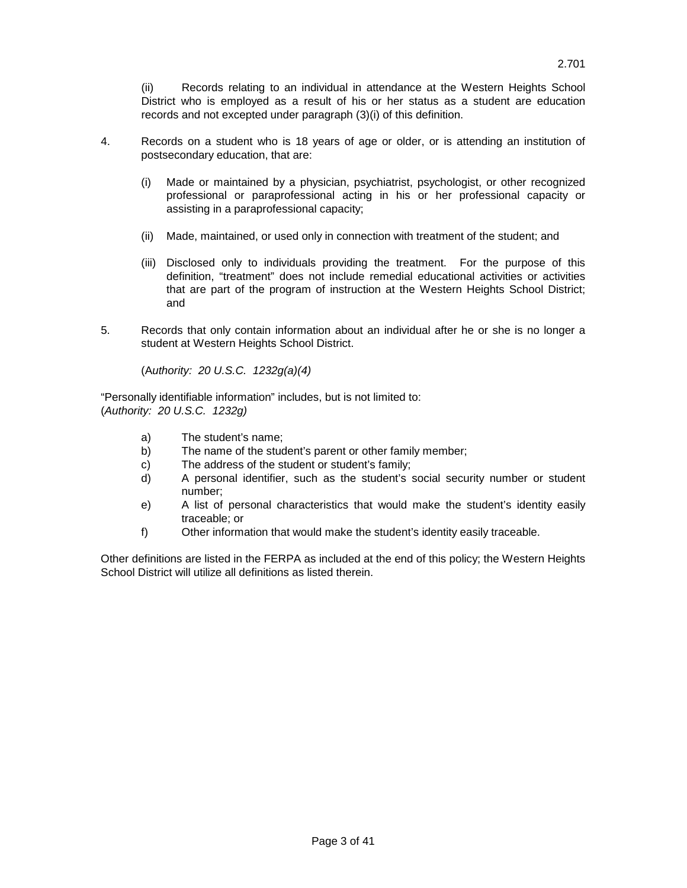(ii) Records relating to an individual in attendance at the Western Heights School District who is employed as a result of his or her status as a student are education records and not excepted under paragraph (3)(i) of this definition.

- 4. Records on a student who is 18 years of age or older, or is attending an institution of postsecondary education, that are:
	- (i) Made or maintained by a physician, psychiatrist, psychologist, or other recognized professional or paraprofessional acting in his or her professional capacity or assisting in a paraprofessional capacity;
	- (ii) Made, maintained, or used only in connection with treatment of the student; and
	- (iii) Disclosed only to individuals providing the treatment. For the purpose of this definition, "treatment" does not include remedial educational activities or activities that are part of the program of instruction at the Western Heights School District; and
- 5. Records that only contain information about an individual after he or she is no longer a student at Western Heights School District.

(A*uthority: 20 U.S.C. 1232g(a)(4)*

"Personally identifiable information" includes, but is not limited to: (*Authority: 20 U.S.C. 1232g)*

- a) The student's name;
- b) The name of the student's parent or other family member;
- c) The address of the student or student's family;
- d) A personal identifier, such as the student's social security number or student number;
- e) A list of personal characteristics that would make the student's identity easily traceable; or
- f) Other information that would make the student's identity easily traceable.

Other definitions are listed in the FERPA as included at the end of this policy; the Western Heights School District will utilize all definitions as listed therein.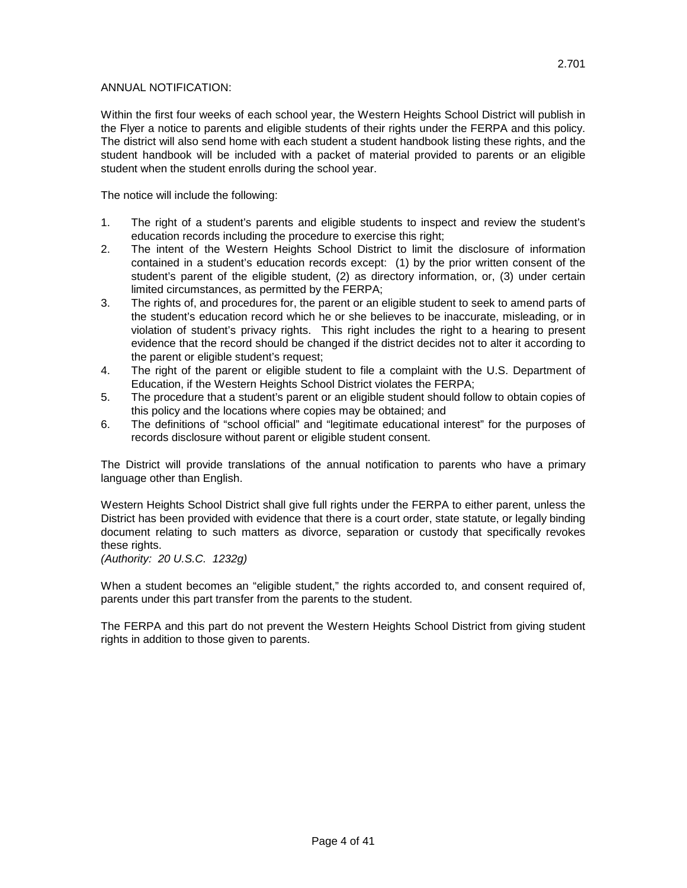#### ANNUAL NOTIFICATION:

Within the first four weeks of each school year, the Western Heights School District will publish in the Flyer a notice to parents and eligible students of their rights under the FERPA and this policy. The district will also send home with each student a student handbook listing these rights, and the student handbook will be included with a packet of material provided to parents or an eligible student when the student enrolls during the school year.

The notice will include the following:

- 1. The right of a student's parents and eligible students to inspect and review the student's education records including the procedure to exercise this right;
- 2. The intent of the Western Heights School District to limit the disclosure of information contained in a student's education records except: (1) by the prior written consent of the student's parent of the eligible student, (2) as directory information, or, (3) under certain limited circumstances, as permitted by the FERPA;
- 3. The rights of, and procedures for, the parent or an eligible student to seek to amend parts of the student's education record which he or she believes to be inaccurate, misleading, or in violation of student's privacy rights. This right includes the right to a hearing to present evidence that the record should be changed if the district decides not to alter it according to the parent or eligible student's request;
- 4. The right of the parent or eligible student to file a complaint with the U.S. Department of Education, if the Western Heights School District violates the FERPA;
- 5. The procedure that a student's parent or an eligible student should follow to obtain copies of this policy and the locations where copies may be obtained; and
- 6. The definitions of "school official" and "legitimate educational interest" for the purposes of records disclosure without parent or eligible student consent.

The District will provide translations of the annual notification to parents who have a primary language other than English.

Western Heights School District shall give full rights under the FERPA to either parent, unless the District has been provided with evidence that there is a court order, state statute, or legally binding document relating to such matters as divorce, separation or custody that specifically revokes these rights.

*(Authority: 20 U.S.C. 1232g)*

When a student becomes an "eligible student," the rights accorded to, and consent required of, parents under this part transfer from the parents to the student.

The FERPA and this part do not prevent the Western Heights School District from giving student rights in addition to those given to parents.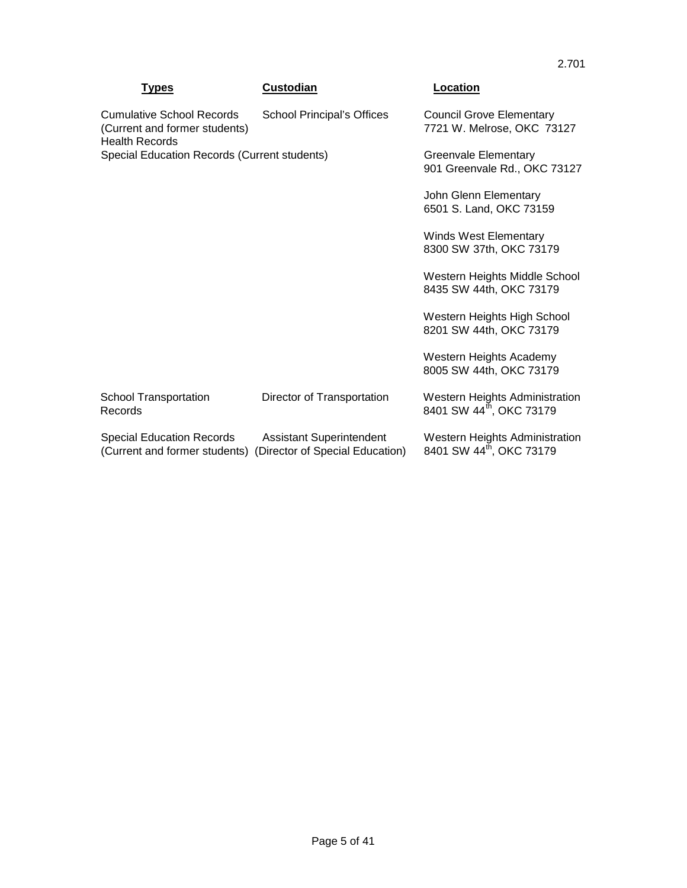| <b>Types</b>                                                                        | <b>Custodian</b>                                                  | Location                                                                      |
|-------------------------------------------------------------------------------------|-------------------------------------------------------------------|-------------------------------------------------------------------------------|
| Cumulative School Records<br>(Current and former students)<br><b>Health Records</b> | <b>School Principal's Offices</b>                                 | <b>Council Grove Elementary</b><br>7721 W. Melrose, OKC 73127                 |
| Special Education Records (Current students)                                        |                                                                   | <b>Greenvale Elementary</b><br>901 Greenvale Rd., OKC 73127                   |
|                                                                                     |                                                                   | John Glenn Elementary<br>6501 S. Land, OKC 73159                              |
|                                                                                     |                                                                   | Winds West Elementary<br>8300 SW 37th, OKC 73179                              |
|                                                                                     |                                                                   | Western Heights Middle School<br>8435 SW 44th, OKC 73179                      |
|                                                                                     |                                                                   | Western Heights High School<br>8201 SW 44th, OKC 73179                        |
|                                                                                     |                                                                   | Western Heights Academy<br>8005 SW 44th, OKC 73179                            |
| School Transportation<br>Records                                                    | Director of Transportation                                        | <b>Western Heights Administration</b><br>8401 SW 44 <sup>th</sup> , OKC 73179 |
| <b>Special Education Records</b><br>(Current and former students)                   | <b>Assistant Superintendent</b><br>Director of Special Education) | Western Heights Administration<br>8401 SW 44th, OKC 73179                     |

# 2.701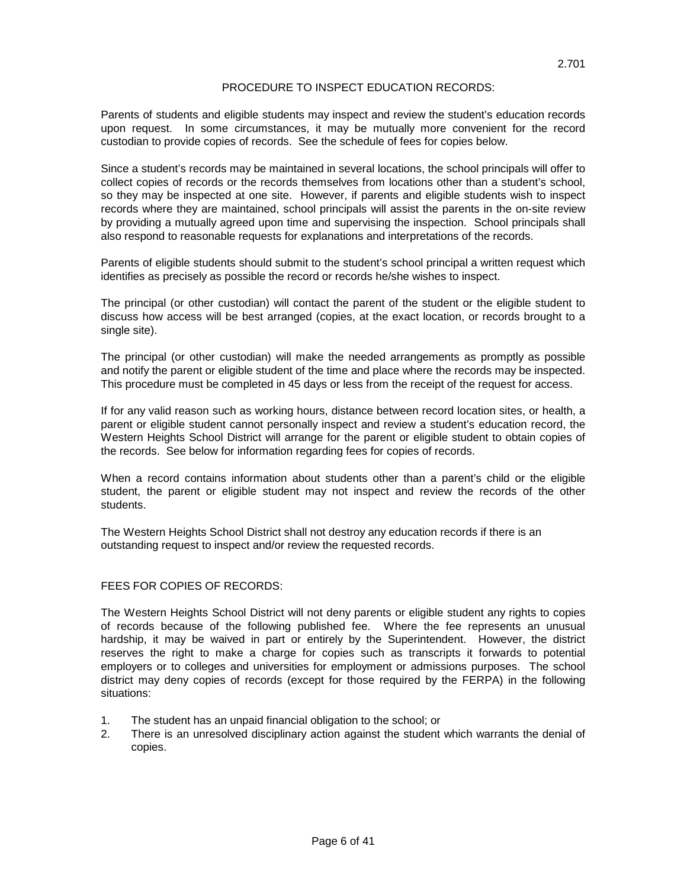Parents of students and eligible students may inspect and review the student's education records upon request. In some circumstances, it may be mutually more convenient for the record custodian to provide copies of records. See the schedule of fees for copies below.

Since a student's records may be maintained in several locations, the school principals will offer to collect copies of records or the records themselves from locations other than a student's school, so they may be inspected at one site. However, if parents and eligible students wish to inspect records where they are maintained, school principals will assist the parents in the on-site review by providing a mutually agreed upon time and supervising the inspection. School principals shall also respond to reasonable requests for explanations and interpretations of the records.

Parents of eligible students should submit to the student's school principal a written request which identifies as precisely as possible the record or records he/she wishes to inspect.

The principal (or other custodian) will contact the parent of the student or the eligible student to discuss how access will be best arranged (copies, at the exact location, or records brought to a single site).

The principal (or other custodian) will make the needed arrangements as promptly as possible and notify the parent or eligible student of the time and place where the records may be inspected. This procedure must be completed in 45 days or less from the receipt of the request for access.

If for any valid reason such as working hours, distance between record location sites, or health, a parent or eligible student cannot personally inspect and review a student's education record, the Western Heights School District will arrange for the parent or eligible student to obtain copies of the records. See below for information regarding fees for copies of records.

When a record contains information about students other than a parent's child or the eligible student, the parent or eligible student may not inspect and review the records of the other students.

The Western Heights School District shall not destroy any education records if there is an outstanding request to inspect and/or review the requested records.

# FEES FOR COPIES OF RECORDS:

The Western Heights School District will not deny parents or eligible student any rights to copies of records because of the following published fee. Where the fee represents an unusual hardship, it may be waived in part or entirely by the Superintendent. However, the district reserves the right to make a charge for copies such as transcripts it forwards to potential employers or to colleges and universities for employment or admissions purposes. The school district may deny copies of records (except for those required by the FERPA) in the following situations:

- 1. The student has an unpaid financial obligation to the school; or
- 2. There is an unresolved disciplinary action against the student which warrants the denial of copies.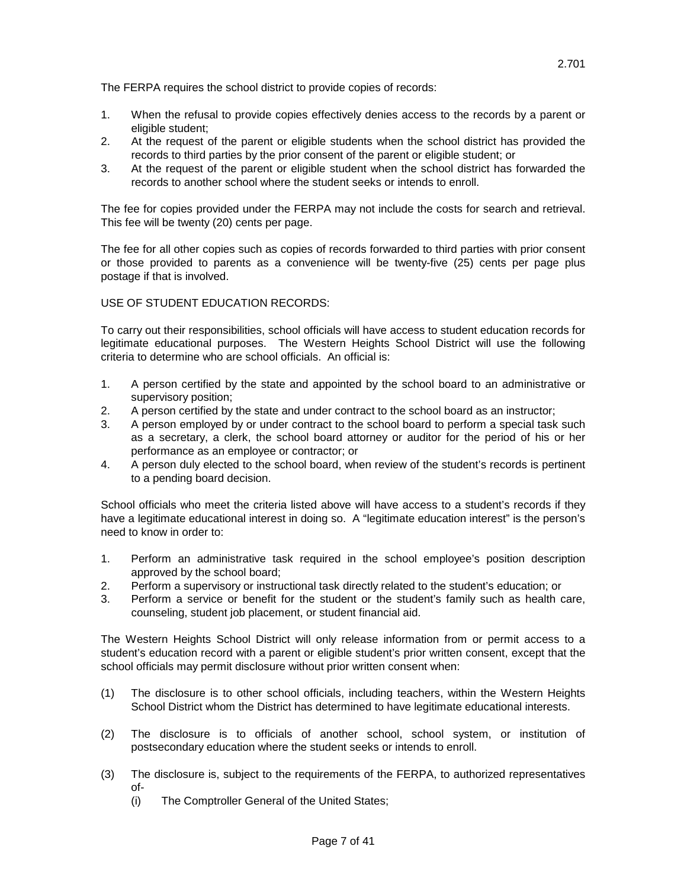The FERPA requires the school district to provide copies of records:

- 1. When the refusal to provide copies effectively denies access to the records by a parent or eligible student;
- 2. At the request of the parent or eligible students when the school district has provided the records to third parties by the prior consent of the parent or eligible student; or
- 3. At the request of the parent or eligible student when the school district has forwarded the records to another school where the student seeks or intends to enroll.

The fee for copies provided under the FERPA may not include the costs for search and retrieval. This fee will be twenty (20) cents per page.

The fee for all other copies such as copies of records forwarded to third parties with prior consent or those provided to parents as a convenience will be twenty-five (25) cents per page plus postage if that is involved.

## USE OF STUDENT EDUCATION RECORDS:

To carry out their responsibilities, school officials will have access to student education records for legitimate educational purposes. The Western Heights School District will use the following criteria to determine who are school officials. An official is:

- 1. A person certified by the state and appointed by the school board to an administrative or supervisory position;
- 2. A person certified by the state and under contract to the school board as an instructor;
- 3. A person employed by or under contract to the school board to perform a special task such as a secretary, a clerk, the school board attorney or auditor for the period of his or her performance as an employee or contractor; or
- 4. A person duly elected to the school board, when review of the student's records is pertinent to a pending board decision.

School officials who meet the criteria listed above will have access to a student's records if they have a legitimate educational interest in doing so. A "legitimate education interest" is the person's need to know in order to:

- 1. Perform an administrative task required in the school employee's position description approved by the school board;
- 2. Perform a supervisory or instructional task directly related to the student's education; or
- 3. Perform a service or benefit for the student or the student's family such as health care, counseling, student job placement, or student financial aid.

The Western Heights School District will only release information from or permit access to a student's education record with a parent or eligible student's prior written consent, except that the school officials may permit disclosure without prior written consent when:

- (1) The disclosure is to other school officials, including teachers, within the Western Heights School District whom the District has determined to have legitimate educational interests.
- (2) The disclosure is to officials of another school, school system, or institution of postsecondary education where the student seeks or intends to enroll.
- (3) The disclosure is, subject to the requirements of the FERPA, to authorized representatives of-
	- (i) The Comptroller General of the United States;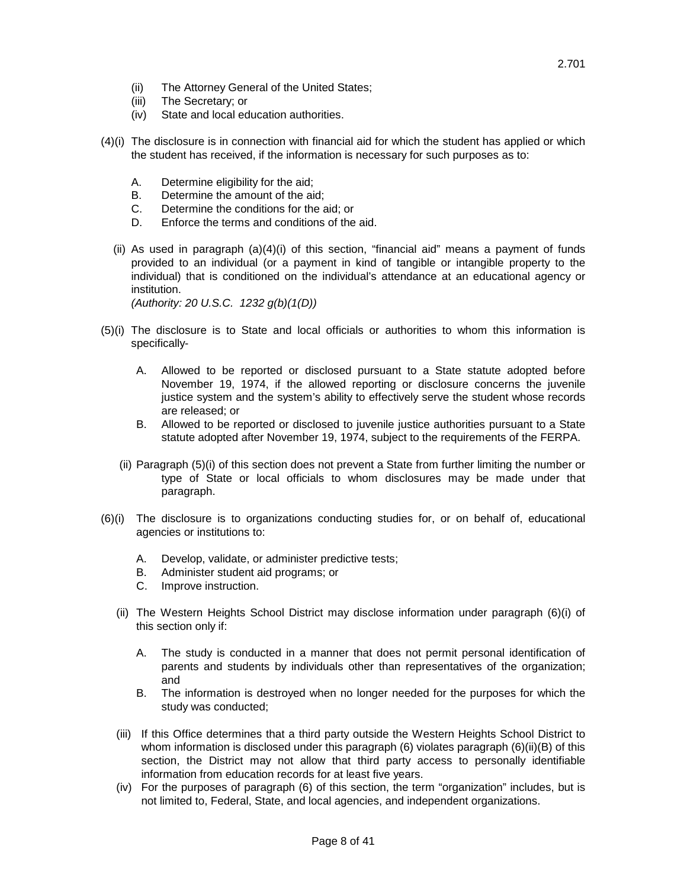- (ii) The Attorney General of the United States;
- (iii) The Secretary; or
- (iv) State and local education authorities.
- (4)(i) The disclosure is in connection with financial aid for which the student has applied or which the student has received, if the information is necessary for such purposes as to:
	- A. Determine eligibility for the aid;
	- B. Determine the amount of the aid;
	- C. Determine the conditions for the aid; or
	- D. Enforce the terms and conditions of the aid.
	- (ii) As used in paragraph (a)(4)(i) of this section, "financial aid" means a payment of funds provided to an individual (or a payment in kind of tangible or intangible property to the individual) that is conditioned on the individual's attendance at an educational agency or institution.

*(Authority: 20 U.S.C. 1232 g(b)(1(D))*

- (5)(i) The disclosure is to State and local officials or authorities to whom this information is specifically-
	- A. Allowed to be reported or disclosed pursuant to a State statute adopted before November 19, 1974, if the allowed reporting or disclosure concerns the juvenile justice system and the system's ability to effectively serve the student whose records are released; or
	- B. Allowed to be reported or disclosed to juvenile justice authorities pursuant to a State statute adopted after November 19, 1974, subject to the requirements of the FERPA.
	- (ii) Paragraph (5)(i) of this section does not prevent a State from further limiting the number or type of State or local officials to whom disclosures may be made under that paragraph.
- (6)(i) The disclosure is to organizations conducting studies for, or on behalf of, educational agencies or institutions to:
	- A. Develop, validate, or administer predictive tests;
	- B. Administer student aid programs; or
	- C. Improve instruction.
	- (ii) The Western Heights School District may disclose information under paragraph (6)(i) of this section only if:
		- A. The study is conducted in a manner that does not permit personal identification of parents and students by individuals other than representatives of the organization; and
		- B. The information is destroyed when no longer needed for the purposes for which the study was conducted;
	- (iii) If this Office determines that a third party outside the Western Heights School District to whom information is disclosed under this paragraph  $(6)$  violates paragraph  $(6)(ii)(B)$  of this section, the District may not allow that third party access to personally identifiable information from education records for at least five years.
	- (iv) For the purposes of paragraph (6) of this section, the term "organization" includes, but is not limited to, Federal, State, and local agencies, and independent organizations.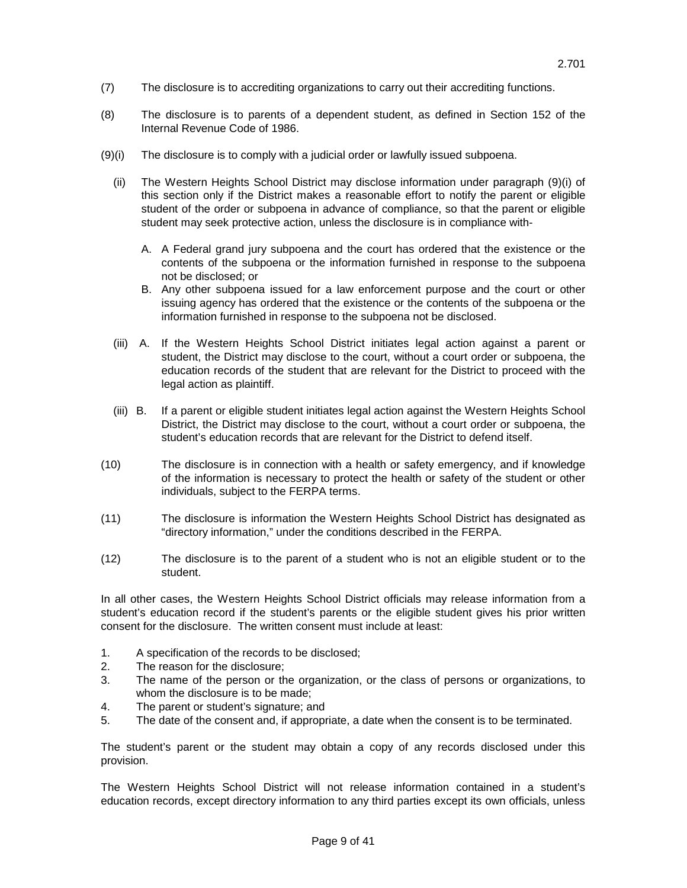- (7) The disclosure is to accrediting organizations to carry out their accrediting functions.
- (8) The disclosure is to parents of a dependent student, as defined in Section 152 of the Internal Revenue Code of 1986.
- (9)(i) The disclosure is to comply with a judicial order or lawfully issued subpoena.
	- (ii) The Western Heights School District may disclose information under paragraph (9)(i) of this section only if the District makes a reasonable effort to notify the parent or eligible student of the order or subpoena in advance of compliance, so that the parent or eligible student may seek protective action, unless the disclosure is in compliance with-
		- A. A Federal grand jury subpoena and the court has ordered that the existence or the contents of the subpoena or the information furnished in response to the subpoena not be disclosed; or
		- B. Any other subpoena issued for a law enforcement purpose and the court or other issuing agency has ordered that the existence or the contents of the subpoena or the information furnished in response to the subpoena not be disclosed.
	- (iii) A. If the Western Heights School District initiates legal action against a parent or student, the District may disclose to the court, without a court order or subpoena, the education records of the student that are relevant for the District to proceed with the legal action as plaintiff.
	- (iii) B. If a parent or eligible student initiates legal action against the Western Heights School District, the District may disclose to the court, without a court order or subpoena, the student's education records that are relevant for the District to defend itself.
- (10) The disclosure is in connection with a health or safety emergency, and if knowledge of the information is necessary to protect the health or safety of the student or other individuals, subject to the FERPA terms.
- (11) The disclosure is information the Western Heights School District has designated as "directory information," under the conditions described in the FERPA.
- (12) The disclosure is to the parent of a student who is not an eligible student or to the student.

In all other cases, the Western Heights School District officials may release information from a student's education record if the student's parents or the eligible student gives his prior written consent for the disclosure. The written consent must include at least:

- 1. A specification of the records to be disclosed;
- 2. The reason for the disclosure;
- 3. The name of the person or the organization, or the class of persons or organizations, to whom the disclosure is to be made;
- 4. The parent or student's signature; and
- 5. The date of the consent and, if appropriate, a date when the consent is to be terminated.

The student's parent or the student may obtain a copy of any records disclosed under this provision.

The Western Heights School District will not release information contained in a student's education records, except directory information to any third parties except its own officials, unless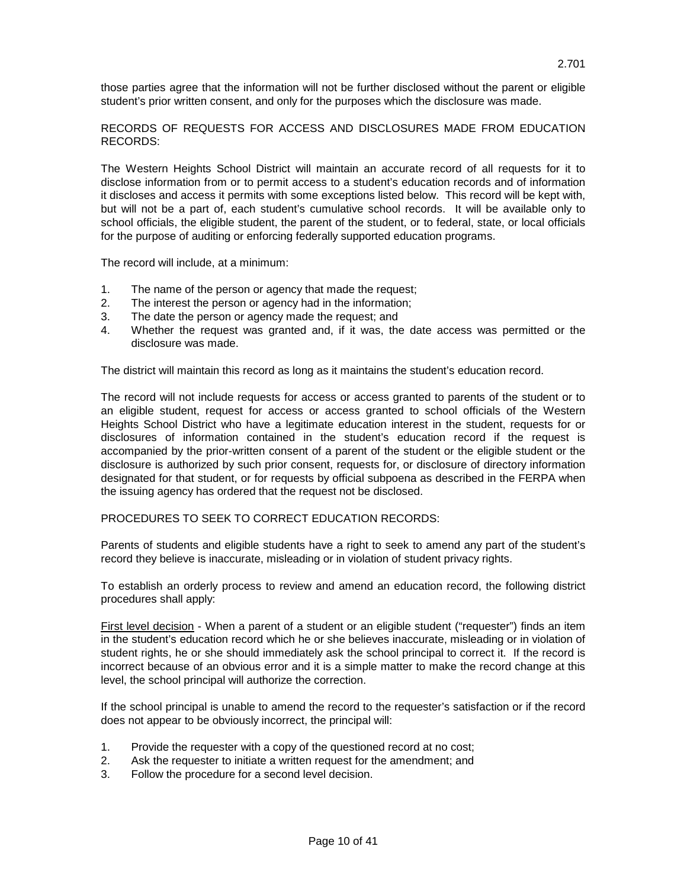those parties agree that the information will not be further disclosed without the parent or eligible student's prior written consent, and only for the purposes which the disclosure was made.

RECORDS OF REQUESTS FOR ACCESS AND DISCLOSURES MADE FROM EDUCATION RECORDS:

The Western Heights School District will maintain an accurate record of all requests for it to disclose information from or to permit access to a student's education records and of information it discloses and access it permits with some exceptions listed below. This record will be kept with, but will not be a part of, each student's cumulative school records. It will be available only to school officials, the eligible student, the parent of the student, or to federal, state, or local officials for the purpose of auditing or enforcing federally supported education programs.

The record will include, at a minimum:

- 1. The name of the person or agency that made the request;
- 2. The interest the person or agency had in the information;
- 3. The date the person or agency made the request; and
- 4. Whether the request was granted and, if it was, the date access was permitted or the disclosure was made.

The district will maintain this record as long as it maintains the student's education record.

The record will not include requests for access or access granted to parents of the student or to an eligible student, request for access or access granted to school officials of the Western Heights School District who have a legitimate education interest in the student, requests for or disclosures of information contained in the student's education record if the request is accompanied by the prior-written consent of a parent of the student or the eligible student or the disclosure is authorized by such prior consent, requests for, or disclosure of directory information designated for that student, or for requests by official subpoena as described in the FERPA when the issuing agency has ordered that the request not be disclosed.

PROCEDURES TO SEEK TO CORRECT EDUCATION RECORDS:

Parents of students and eligible students have a right to seek to amend any part of the student's record they believe is inaccurate, misleading or in violation of student privacy rights.

To establish an orderly process to review and amend an education record, the following district procedures shall apply:

First level decision - When a parent of a student or an eligible student ("requester") finds an item in the student's education record which he or she believes inaccurate, misleading or in violation of student rights, he or she should immediately ask the school principal to correct it. If the record is incorrect because of an obvious error and it is a simple matter to make the record change at this level, the school principal will authorize the correction.

If the school principal is unable to amend the record to the requester's satisfaction or if the record does not appear to be obviously incorrect, the principal will:

- 1. Provide the requester with a copy of the questioned record at no cost;
- 2. Ask the requester to initiate a written request for the amendment; and
- 3. Follow the procedure for a second level decision.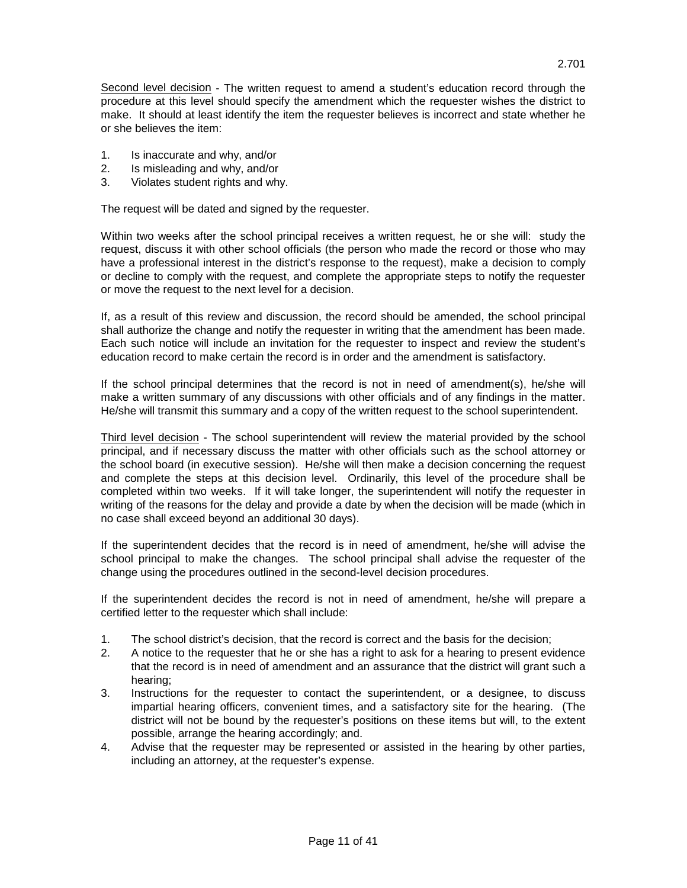- 1. Is inaccurate and why, and/or
- 2. Is misleading and why, and/or
- 3. Violates student rights and why.

The request will be dated and signed by the requester.

Within two weeks after the school principal receives a written request, he or she will: study the request, discuss it with other school officials (the person who made the record or those who may have a professional interest in the district's response to the request), make a decision to comply or decline to comply with the request, and complete the appropriate steps to notify the requester or move the request to the next level for a decision.

If, as a result of this review and discussion, the record should be amended, the school principal shall authorize the change and notify the requester in writing that the amendment has been made. Each such notice will include an invitation for the requester to inspect and review the student's education record to make certain the record is in order and the amendment is satisfactory.

If the school principal determines that the record is not in need of amendment(s), he/she will make a written summary of any discussions with other officials and of any findings in the matter. He/she will transmit this summary and a copy of the written request to the school superintendent.

Third level decision - The school superintendent will review the material provided by the school principal, and if necessary discuss the matter with other officials such as the school attorney or the school board (in executive session). He/she will then make a decision concerning the request and complete the steps at this decision level. Ordinarily, this level of the procedure shall be completed within two weeks. If it will take longer, the superintendent will notify the requester in writing of the reasons for the delay and provide a date by when the decision will be made (which in no case shall exceed beyond an additional 30 days).

If the superintendent decides that the record is in need of amendment, he/she will advise the school principal to make the changes. The school principal shall advise the requester of the change using the procedures outlined in the second-level decision procedures.

If the superintendent decides the record is not in need of amendment, he/she will prepare a certified letter to the requester which shall include:

- 1. The school district's decision, that the record is correct and the basis for the decision;
- 2. A notice to the requester that he or she has a right to ask for a hearing to present evidence that the record is in need of amendment and an assurance that the district will grant such a hearing;
- 3. Instructions for the requester to contact the superintendent, or a designee, to discuss impartial hearing officers, convenient times, and a satisfactory site for the hearing. (The district will not be bound by the requester's positions on these items but will, to the extent possible, arrange the hearing accordingly; and.
- 4. Advise that the requester may be represented or assisted in the hearing by other parties, including an attorney, at the requester's expense.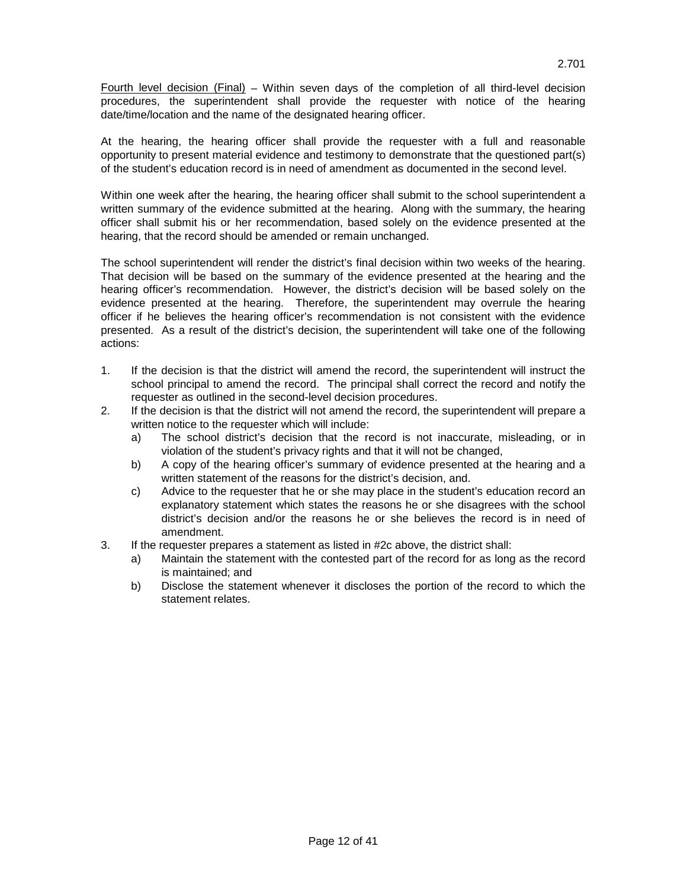Fourth level decision (Final) – Within seven days of the completion of all third-level decision procedures, the superintendent shall provide the requester with notice of the hearing date/time/location and the name of the designated hearing officer.

At the hearing, the hearing officer shall provide the requester with a full and reasonable opportunity to present material evidence and testimony to demonstrate that the questioned part(s) of the student's education record is in need of amendment as documented in the second level.

Within one week after the hearing, the hearing officer shall submit to the school superintendent a written summary of the evidence submitted at the hearing. Along with the summary, the hearing officer shall submit his or her recommendation, based solely on the evidence presented at the hearing, that the record should be amended or remain unchanged.

The school superintendent will render the district's final decision within two weeks of the hearing. That decision will be based on the summary of the evidence presented at the hearing and the hearing officer's recommendation. However, the district's decision will be based solely on the evidence presented at the hearing. Therefore, the superintendent may overrule the hearing officer if he believes the hearing officer's recommendation is not consistent with the evidence presented. As a result of the district's decision, the superintendent will take one of the following actions:

- 1. If the decision is that the district will amend the record, the superintendent will instruct the school principal to amend the record. The principal shall correct the record and notify the requester as outlined in the second-level decision procedures.
- 2. If the decision is that the district will not amend the record, the superintendent will prepare a written notice to the requester which will include:
	- a) The school district's decision that the record is not inaccurate, misleading, or in violation of the student's privacy rights and that it will not be changed,
	- b) A copy of the hearing officer's summary of evidence presented at the hearing and a written statement of the reasons for the district's decision, and.
	- c) Advice to the requester that he or she may place in the student's education record an explanatory statement which states the reasons he or she disagrees with the school district's decision and/or the reasons he or she believes the record is in need of amendment.
- 3. If the requester prepares a statement as listed in #2c above, the district shall:
	- a) Maintain the statement with the contested part of the record for as long as the record is maintained; and
	- b) Disclose the statement whenever it discloses the portion of the record to which the statement relates.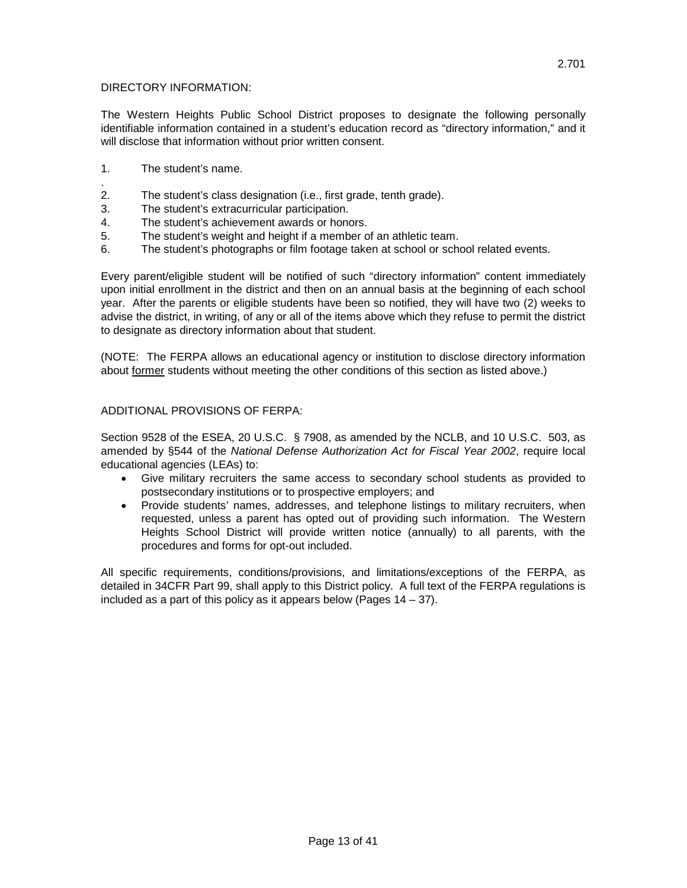#### DIRECTORY INFORMATION:

The Western Heights Public School District proposes to designate the following personally identifiable information contained in a student's education record as "directory information," and it will disclose that information without prior written consent.

- 1. The student's name.
- . 2. The student's class designation (i.e., first grade, tenth grade).
- 3. The student's extracurricular participation.
- 4. The student's achievement awards or honors.
- 5. The student's weight and height if a member of an athletic team.
- 6. The student's photographs or film footage taken at school or school related events.

Every parent/eligible student will be notified of such "directory information" content immediately upon initial enrollment in the district and then on an annual basis at the beginning of each school year. After the parents or eligible students have been so notified, they will have two (2) weeks to advise the district, in writing, of any or all of the items above which they refuse to permit the district to designate as directory information about that student.

(NOTE: The FERPA allows an educational agency or institution to disclose directory information about former students without meeting the other conditions of this section as listed above.)

# ADDITIONAL PROVISIONS OF FERPA:

Section 9528 of the ESEA, 20 U.S.C. § 7908, as amended by the NCLB, and 10 U.S.C. 503, as amended by §544 of the *National Defense Authorization Act for Fiscal Year 2002*, require local educational agencies (LEAs) to:

- Give military recruiters the same access to secondary school students as provided to postsecondary institutions or to prospective employers; and
- Provide students' names, addresses, and telephone listings to military recruiters, when requested, unless a parent has opted out of providing such information. The Western Heights School District will provide written notice (annually) to all parents, with the procedures and forms for opt-out included.

All specific requirements, conditions/provisions, and limitations/exceptions of the FERPA, as detailed in 34CFR Part 99, shall apply to this District policy. A full text of the FERPA regulations is included as a part of this policy as it appears below (Pages 14 – 37).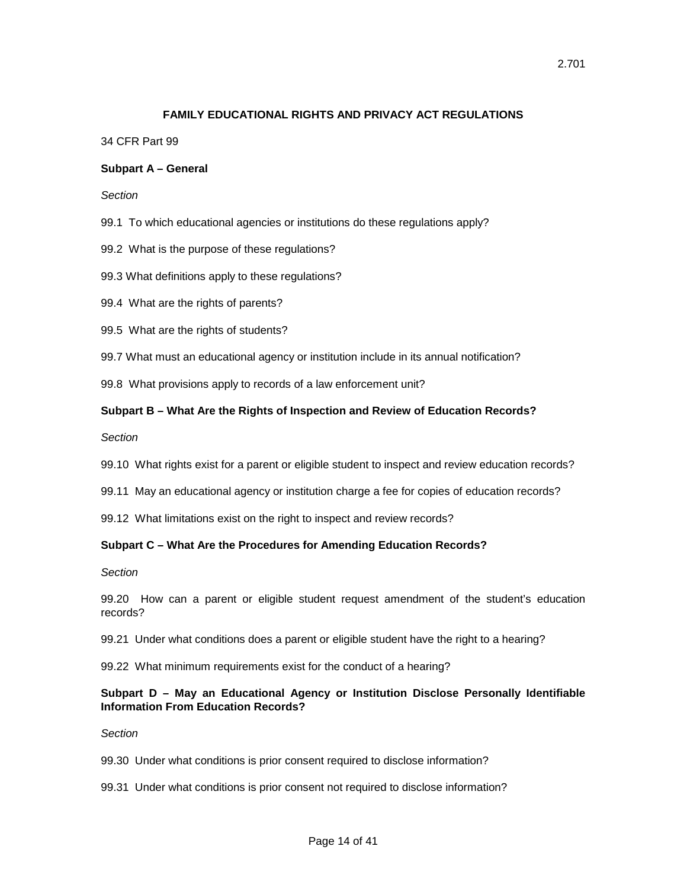# **FAMILY EDUCATIONAL RIGHTS AND PRIVACY ACT REGULATIONS**

34 CFR Part 99

#### **Subpart A – General**

*Section*

- 99.1 To which educational agencies or institutions do these regulations apply?
- 99.2 What is the purpose of these regulations?
- 99.3 What definitions apply to these regulations?
- 99.4 What are the rights of parents?
- 99.5 What are the rights of students?
- 99.7 What must an educational agency or institution include in its annual notification?
- 99.8 What provisions apply to records of a law enforcement unit?

#### **Subpart B – What Are the Rights of Inspection and Review of Education Records?**

*Section*

- 99.10 What rights exist for a parent or eligible student to inspect and review education records?
- 99.11 May an educational agency or institution charge a fee for copies of education records?
- 99.12 What limitations exist on the right to inspect and review records?

## **Subpart C – What Are the Procedures for Amending Education Records?**

*Section*

99.20 How can a parent or eligible student request amendment of the student's education records?

99.21 Under what conditions does a parent or eligible student have the right to a hearing?

99.22 What minimum requirements exist for the conduct of a hearing?

## **Subpart D – May an Educational Agency or Institution Disclose Personally Identifiable Information From Education Records?**

*Section*

99.30 Under what conditions is prior consent required to disclose information?

99.31 Under what conditions is prior consent not required to disclose information?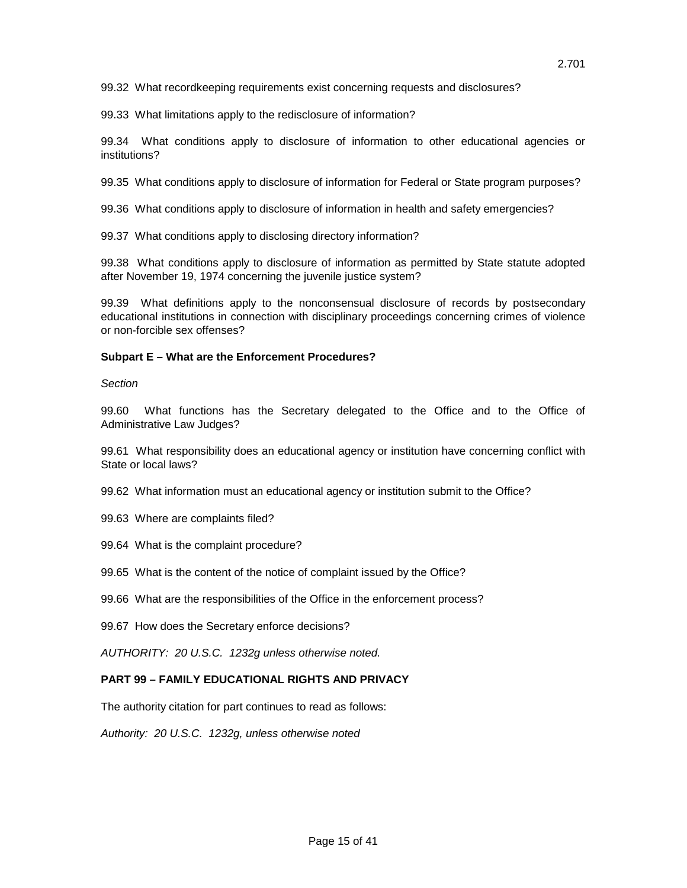99.32 What recordkeeping requirements exist concerning requests and disclosures?

99.33 What limitations apply to the redisclosure of information?

99.34 What conditions apply to disclosure of information to other educational agencies or institutions?

99.35 What conditions apply to disclosure of information for Federal or State program purposes?

99.36 What conditions apply to disclosure of information in health and safety emergencies?

99.37 What conditions apply to disclosing directory information?

99.38 What conditions apply to disclosure of information as permitted by State statute adopted after November 19, 1974 concerning the juvenile justice system?

99.39 What definitions apply to the nonconsensual disclosure of records by postsecondary educational institutions in connection with disciplinary proceedings concerning crimes of violence or non-forcible sex offenses?

#### **Subpart E – What are the Enforcement Procedures?**

*Section*

99.60 What functions has the Secretary delegated to the Office and to the Office of Administrative Law Judges?

99.61 What responsibility does an educational agency or institution have concerning conflict with State or local laws?

99.62 What information must an educational agency or institution submit to the Office?

99.63 Where are complaints filed?

99.64 What is the complaint procedure?

99.65 What is the content of the notice of complaint issued by the Office?

99.66 What are the responsibilities of the Office in the enforcement process?

99.67 How does the Secretary enforce decisions?

*AUTHORITY: 20 U.S.C. 1232g unless otherwise noted.*

#### **PART 99 – FAMILY EDUCATIONAL RIGHTS AND PRIVACY**

The authority citation for part continues to read as follows:

*Authority: 20 U.S.C. 1232g, unless otherwise noted*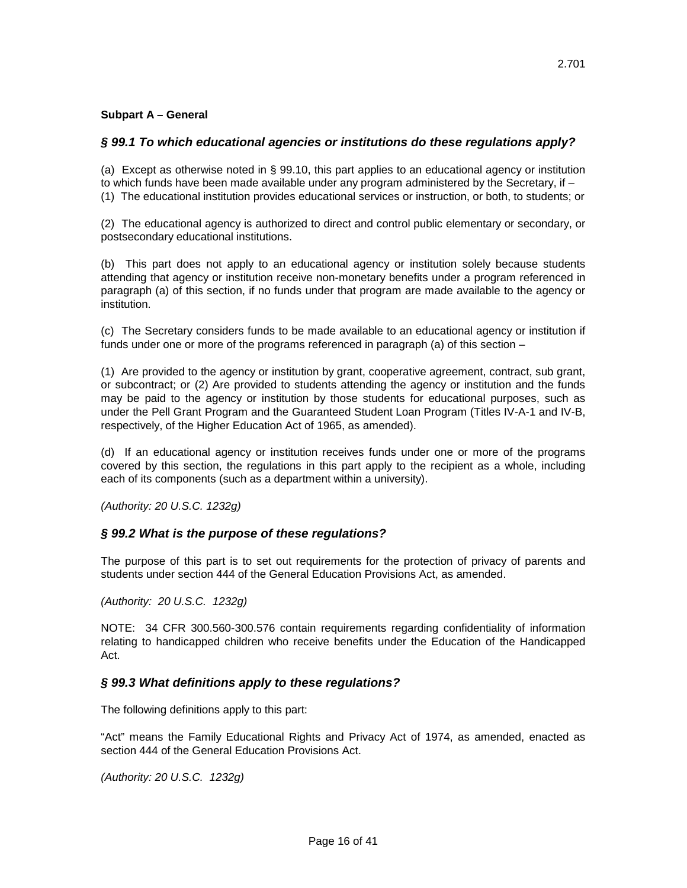# **Subpart A – General**

# *§ 99.1 To which educational agencies or institutions do these regulations apply?*

(a) Except as otherwise noted in § 99.10, this part applies to an educational agency or institution to which funds have been made available under any program administered by the Secretary, if – (1) The educational institution provides educational services or instruction, or both, to students; or

(2) The educational agency is authorized to direct and control public elementary or secondary, or postsecondary educational institutions.

(b) This part does not apply to an educational agency or institution solely because students attending that agency or institution receive non-monetary benefits under a program referenced in paragraph (a) of this section, if no funds under that program are made available to the agency or institution.

(c) The Secretary considers funds to be made available to an educational agency or institution if funds under one or more of the programs referenced in paragraph (a) of this section –

(1) Are provided to the agency or institution by grant, cooperative agreement, contract, sub grant, or subcontract; or (2) Are provided to students attending the agency or institution and the funds may be paid to the agency or institution by those students for educational purposes, such as under the Pell Grant Program and the Guaranteed Student Loan Program (Titles IV-A-1 and IV-B, respectively, of the Higher Education Act of 1965, as amended).

(d) If an educational agency or institution receives funds under one or more of the programs covered by this section, the regulations in this part apply to the recipient as a whole, including each of its components (such as a department within a university).

*(Authority: 20 U.S.C. 1232g)*

# *§ 99.2 What is the purpose of these regulations?*

The purpose of this part is to set out requirements for the protection of privacy of parents and students under section 444 of the General Education Provisions Act, as amended.

*(Authority: 20 U.S.C. 1232g)*

NOTE: 34 CFR 300.560-300.576 contain requirements regarding confidentiality of information relating to handicapped children who receive benefits under the Education of the Handicapped Act.

# *§ 99.3 What definitions apply to these regulations?*

The following definitions apply to this part:

"Act" means the Family Educational Rights and Privacy Act of 1974, as amended, enacted as section 444 of the General Education Provisions Act.

*(Authority: 20 U.S.C. 1232g)*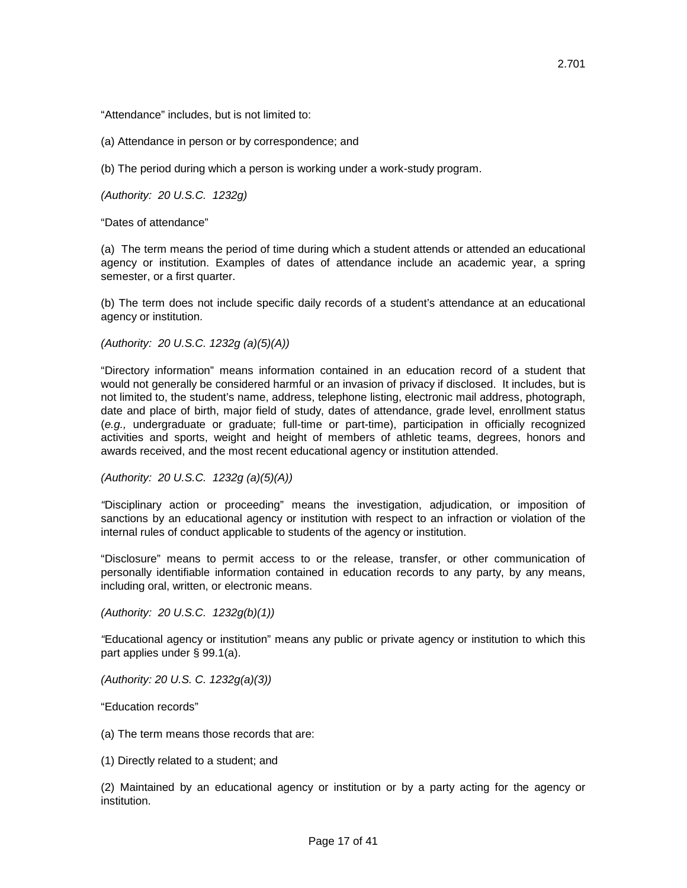"Attendance" includes, but is not limited to:

(a) Attendance in person or by correspondence; and

(b) The period during which a person is working under a work-study program.

*(Authority: 20 U.S.C. 1232g)*

"Dates of attendance"

(a) The term means the period of time during which a student attends or attended an educational agency or institution. Examples of dates of attendance include an academic year, a spring semester, or a first quarter.

(b) The term does not include specific daily records of a student's attendance at an educational agency or institution.

*(Authority: 20 U.S.C. 1232g (a)(5)(A))*

"Directory information" means information contained in an education record of a student that would not generally be considered harmful or an invasion of privacy if disclosed. It includes, but is not limited to, the student's name, address, telephone listing, electronic mail address, photograph, date and place of birth, major field of study, dates of attendance, grade level, enrollment status (*e.g.,* undergraduate or graduate; full-time or part-time), participation in officially recognized activities and sports, weight and height of members of athletic teams, degrees, honors and awards received, and the most recent educational agency or institution attended.

*(Authority: 20 U.S.C. 1232g (a)(5)(A))*

*"*Disciplinary action or proceeding" means the investigation, adjudication, or imposition of sanctions by an educational agency or institution with respect to an infraction or violation of the internal rules of conduct applicable to students of the agency or institution.

"Disclosure" means to permit access to or the release, transfer, or other communication of personally identifiable information contained in education records to any party, by any means, including oral, written, or electronic means.

*(Authority: 20 U.S.C. 1232g(b)(1))*

*"*Educational agency or institution" means any public or private agency or institution to which this part applies under § 99.1(a).

*(Authority: 20 U.S. C. 1232g(a)(3))*

"Education records"

(a) The term means those records that are:

(1) Directly related to a student; and

(2) Maintained by an educational agency or institution or by a party acting for the agency or institution.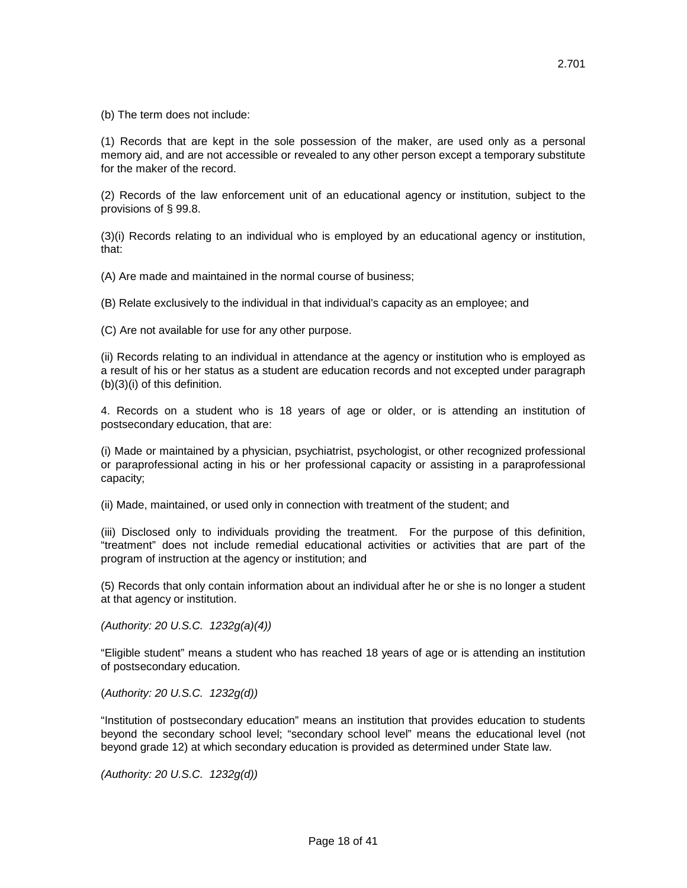(b) The term does not include:

(1) Records that are kept in the sole possession of the maker, are used only as a personal memory aid, and are not accessible or revealed to any other person except a temporary substitute for the maker of the record.

(2) Records of the law enforcement unit of an educational agency or institution, subject to the provisions of § 99.8.

(3)(i) Records relating to an individual who is employed by an educational agency or institution, that:

(A) Are made and maintained in the normal course of business;

(B) Relate exclusively to the individual in that individual's capacity as an employee; and

(C) Are not available for use for any other purpose.

(ii) Records relating to an individual in attendance at the agency or institution who is employed as a result of his or her status as a student are education records and not excepted under paragraph (b)(3)(i) of this definition.

4. Records on a student who is 18 years of age or older, or is attending an institution of postsecondary education, that are:

(i) Made or maintained by a physician, psychiatrist, psychologist, or other recognized professional or paraprofessional acting in his or her professional capacity or assisting in a paraprofessional capacity;

(ii) Made, maintained, or used only in connection with treatment of the student; and

(iii) Disclosed only to individuals providing the treatment. For the purpose of this definition, "treatment" does not include remedial educational activities or activities that are part of the program of instruction at the agency or institution; and

(5) Records that only contain information about an individual after he or she is no longer a student at that agency or institution.

*(Authority: 20 U.S.C. 1232g(a)(4))*

"Eligible student" means a student who has reached 18 years of age or is attending an institution of postsecondary education.

(*Authority: 20 U.S.C. 1232g(d))*

"Institution of postsecondary education" means an institution that provides education to students beyond the secondary school level; "secondary school level" means the educational level (not beyond grade 12) at which secondary education is provided as determined under State law.

*(Authority: 20 U.S.C. 1232g(d))*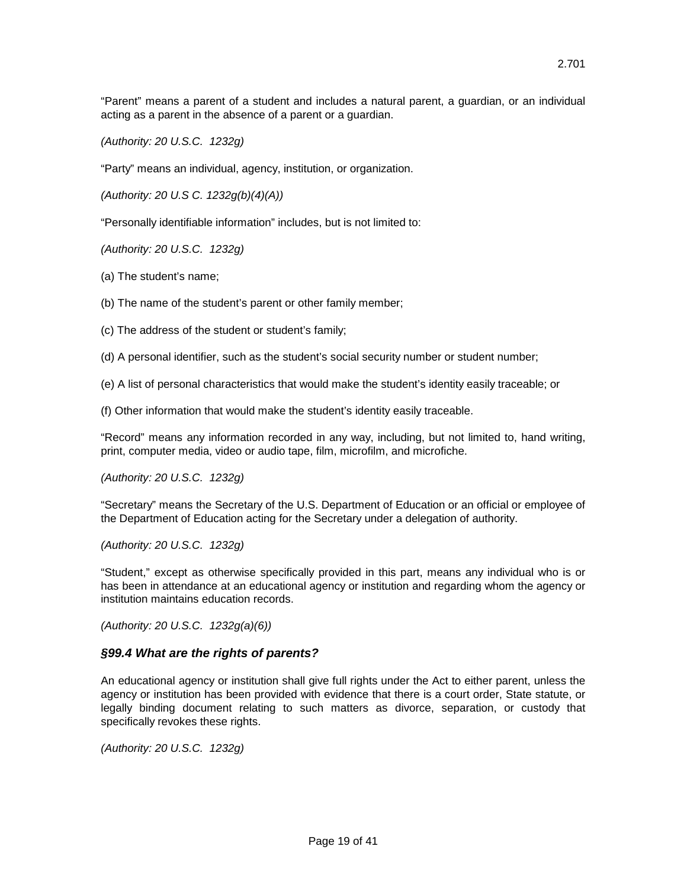"Parent" means a parent of a student and includes a natural parent, a guardian, or an individual acting as a parent in the absence of a parent or a guardian.

*(Authority: 20 U.S.C. 1232g)*

"Party" means an individual, agency, institution, or organization.

*(Authority: 20 U.S C. 1232g(b)(4)(A))*

"Personally identifiable information" includes, but is not limited to:

*(Authority: 20 U.S.C. 1232g)*

- (a) The student's name;
- (b) The name of the student's parent or other family member;
- (c) The address of the student or student's family;
- (d) A personal identifier, such as the student's social security number or student number;
- (e) A list of personal characteristics that would make the student's identity easily traceable; or

(f) Other information that would make the student's identity easily traceable.

"Record" means any information recorded in any way, including, but not limited to, hand writing, print, computer media, video or audio tape, film, microfilm, and microfiche.

*(Authority: 20 U.S.C. 1232g)*

"Secretary" means the Secretary of the U.S. Department of Education or an official or employee of the Department of Education acting for the Secretary under a delegation of authority.

*(Authority: 20 U.S.C. 1232g)*

"Student," except as otherwise specifically provided in this part, means any individual who is or has been in attendance at an educational agency or institution and regarding whom the agency or institution maintains education records.

*(Authority: 20 U.S.C. 1232g(a)(6))*

# *§99.4 What are the rights of parents?*

An educational agency or institution shall give full rights under the Act to either parent, unless the agency or institution has been provided with evidence that there is a court order, State statute, or legally binding document relating to such matters as divorce, separation, or custody that specifically revokes these rights.

*(Authority: 20 U.S.C. 1232g)*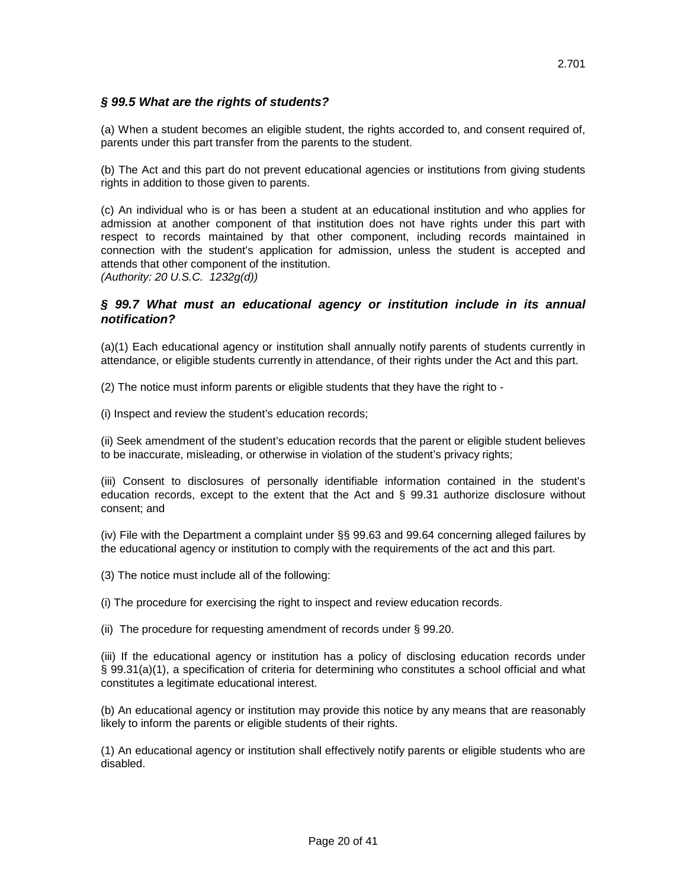(a) When a student becomes an eligible student, the rights accorded to, and consent required of, parents under this part transfer from the parents to the student.

(b) The Act and this part do not prevent educational agencies or institutions from giving students rights in addition to those given to parents.

(c) An individual who is or has been a student at an educational institution and who applies for admission at another component of that institution does not have rights under this part with respect to records maintained by that other component, including records maintained in connection with the student's application for admission, unless the student is accepted and attends that other component of the institution.

*(Authority: 20 U.S.C. 1232g(d))*

*§ 99.5 What are the rights of students?*

# *§ 99.7 What must an educational agency or institution include in its annual notification?*

(a)(1) Each educational agency or institution shall annually notify parents of students currently in attendance, or eligible students currently in attendance, of their rights under the Act and this part.

(2) The notice must inform parents or eligible students that they have the right to -

(i) Inspect and review the student's education records;

(ii) Seek amendment of the student's education records that the parent or eligible student believes to be inaccurate, misleading, or otherwise in violation of the student's privacy rights;

(iii) Consent to disclosures of personally identifiable information contained in the student's education records, except to the extent that the Act and § 99.31 authorize disclosure without consent; and

(iv) File with the Department a complaint under §§ 99.63 and 99.64 concerning alleged failures by the educational agency or institution to comply with the requirements of the act and this part.

(3) The notice must include all of the following:

(i) The procedure for exercising the right to inspect and review education records.

(ii) The procedure for requesting amendment of records under § 99.20.

(iii) If the educational agency or institution has a policy of disclosing education records under § 99.31(a)(1), a specification of criteria for determining who constitutes a school official and what constitutes a legitimate educational interest.

(b) An educational agency or institution may provide this notice by any means that are reasonably likely to inform the parents or eligible students of their rights.

(1) An educational agency or institution shall effectively notify parents or eligible students who are disabled.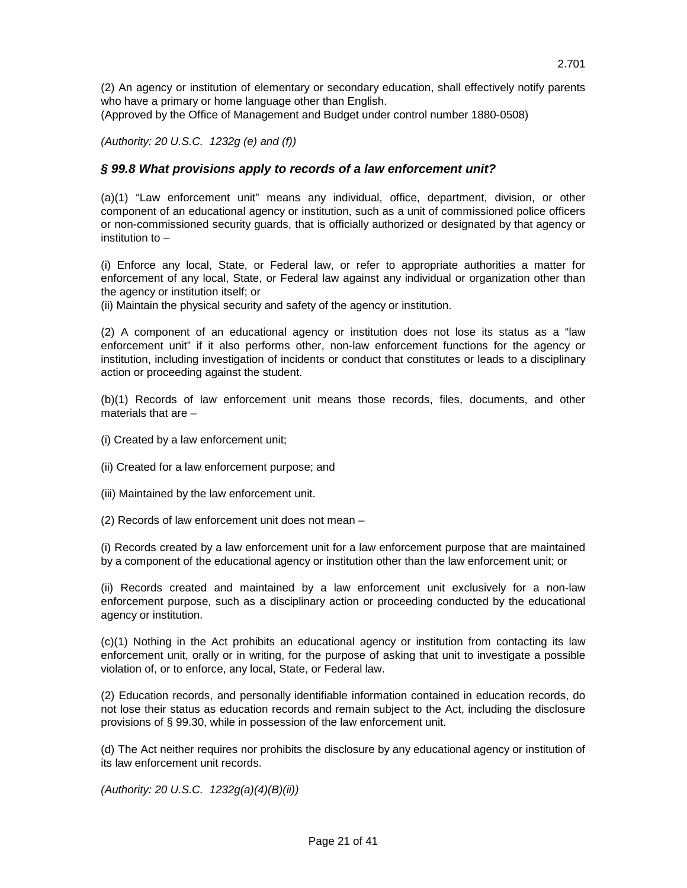*(Authority: 20 U.S.C. 1232g (e) and (f))*

# *§ 99.8 What provisions apply to records of a law enforcement unit?*

(a)(1) "Law enforcement unit" means any individual, office, department, division, or other component of an educational agency or institution, such as a unit of commissioned police officers or non-commissioned security guards, that is officially authorized or designated by that agency or institution to –

(i) Enforce any local, State, or Federal law, or refer to appropriate authorities a matter for enforcement of any local, State, or Federal law against any individual or organization other than the agency or institution itself; or

(ii) Maintain the physical security and safety of the agency or institution.

(2) A component of an educational agency or institution does not lose its status as a "law enforcement unit" if it also performs other, non-law enforcement functions for the agency or institution, including investigation of incidents or conduct that constitutes or leads to a disciplinary action or proceeding against the student.

(b)(1) Records of law enforcement unit means those records, files, documents, and other materials that are –

- (i) Created by a law enforcement unit;
- (ii) Created for a law enforcement purpose; and
- (iii) Maintained by the law enforcement unit.
- (2) Records of law enforcement unit does not mean –

(i) Records created by a law enforcement unit for a law enforcement purpose that are maintained by a component of the educational agency or institution other than the law enforcement unit; or

(ii) Records created and maintained by a law enforcement unit exclusively for a non-law enforcement purpose, such as a disciplinary action or proceeding conducted by the educational agency or institution.

(c)(1) Nothing in the Act prohibits an educational agency or institution from contacting its law enforcement unit, orally or in writing, for the purpose of asking that unit to investigate a possible violation of, or to enforce, any local, State, or Federal law.

(2) Education records, and personally identifiable information contained in education records, do not lose their status as education records and remain subject to the Act, including the disclosure provisions of § 99.30, while in possession of the law enforcement unit.

(d) The Act neither requires nor prohibits the disclosure by any educational agency or institution of its law enforcement unit records.

*(Authority: 20 U.S.C. 1232g(a)(4)(B)(ii))*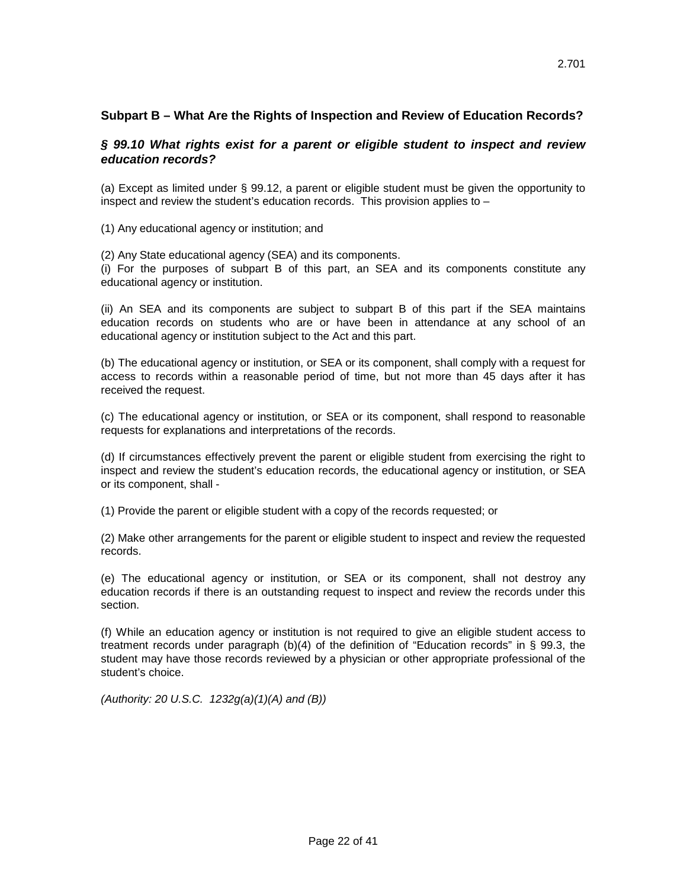# **Subpart B – What Are the Rights of Inspection and Review of Education Records?**

# *§ 99.10 What rights exist for a parent or eligible student to inspect and review education records?*

(a) Except as limited under § 99.12, a parent or eligible student must be given the opportunity to inspect and review the student's education records. This provision applies to –

(1) Any educational agency or institution; and

(2) Any State educational agency (SEA) and its components.

(i) For the purposes of subpart B of this part, an SEA and its components constitute any educational agency or institution.

(ii) An SEA and its components are subject to subpart B of this part if the SEA maintains education records on students who are or have been in attendance at any school of an educational agency or institution subject to the Act and this part.

(b) The educational agency or institution, or SEA or its component, shall comply with a request for access to records within a reasonable period of time, but not more than 45 days after it has received the request.

(c) The educational agency or institution, or SEA or its component, shall respond to reasonable requests for explanations and interpretations of the records.

(d) If circumstances effectively prevent the parent or eligible student from exercising the right to inspect and review the student's education records, the educational agency or institution, or SEA or its component, shall -

(1) Provide the parent or eligible student with a copy of the records requested; or

(2) Make other arrangements for the parent or eligible student to inspect and review the requested records.

(e) The educational agency or institution, or SEA or its component, shall not destroy any education records if there is an outstanding request to inspect and review the records under this section.

(f) While an education agency or institution is not required to give an eligible student access to treatment records under paragraph (b)(4) of the definition of "Education records" in § 99.3, the student may have those records reviewed by a physician or other appropriate professional of the student's choice.

*(Authority: 20 U.S.C. 1232g(a)(1)(A) and (B))*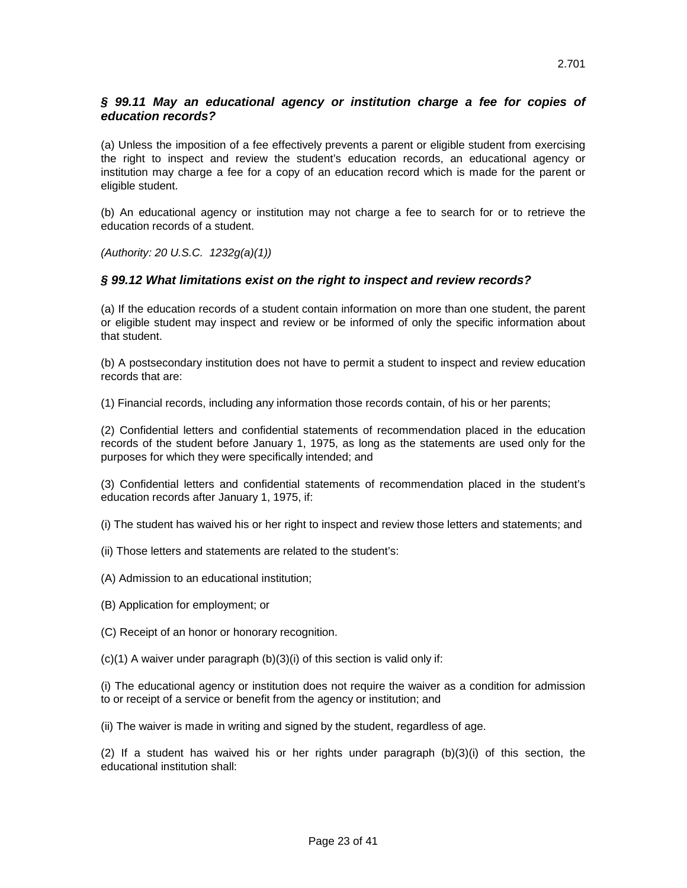# *§ 99.11 May an educational agency or institution charge a fee for copies of education records?*

(a) Unless the imposition of a fee effectively prevents a parent or eligible student from exercising the right to inspect and review the student's education records, an educational agency or institution may charge a fee for a copy of an education record which is made for the parent or eligible student.

(b) An educational agency or institution may not charge a fee to search for or to retrieve the education records of a student.

*(Authority: 20 U.S.C. 1232g(a)(1))*

# *§ 99.12 What limitations exist on the right to inspect and review records?*

(a) If the education records of a student contain information on more than one student, the parent or eligible student may inspect and review or be informed of only the specific information about that student.

(b) A postsecondary institution does not have to permit a student to inspect and review education records that are:

(1) Financial records, including any information those records contain, of his or her parents;

(2) Confidential letters and confidential statements of recommendation placed in the education records of the student before January 1, 1975, as long as the statements are used only for the purposes for which they were specifically intended; and

(3) Confidential letters and confidential statements of recommendation placed in the student's education records after January 1, 1975, if:

(i) The student has waived his or her right to inspect and review those letters and statements; and

- (ii) Those letters and statements are related to the student's:
- (A) Admission to an educational institution;
- (B) Application for employment; or
- (C) Receipt of an honor or honorary recognition.

(c)(1) A waiver under paragraph (b)(3)(i) of this section is valid only if:

(i) The educational agency or institution does not require the waiver as a condition for admission to or receipt of a service or benefit from the agency or institution; and

(ii) The waiver is made in writing and signed by the student, regardless of age.

(2) If a student has waived his or her rights under paragraph (b)(3)(i) of this section, the educational institution shall: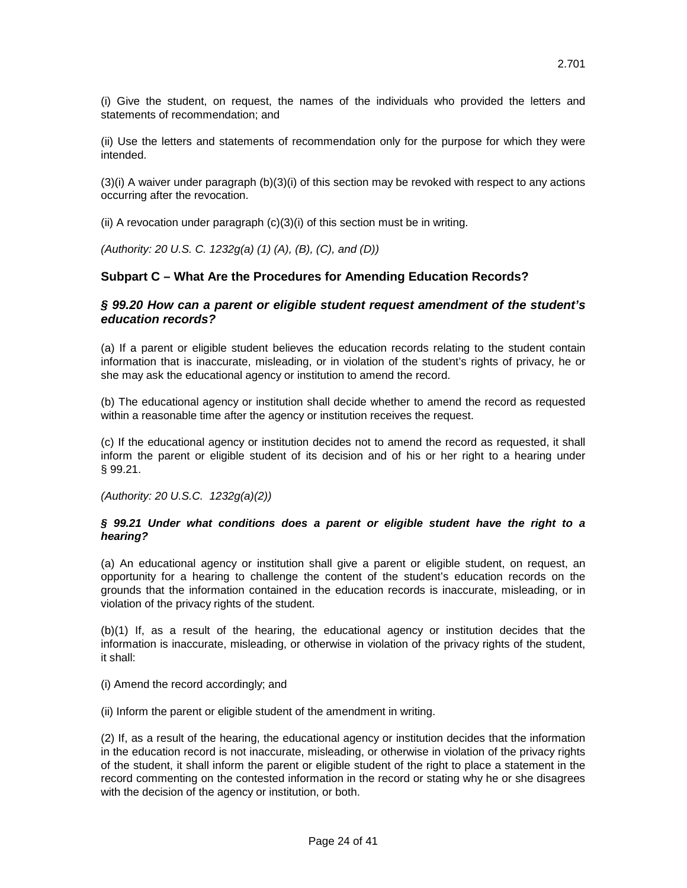(i) Give the student, on request, the names of the individuals who provided the letters and statements of recommendation; and

(ii) Use the letters and statements of recommendation only for the purpose for which they were intended.

(3)(i) A waiver under paragraph (b)(3)(i) of this section may be revoked with respect to any actions occurring after the revocation.

(ii) A revocation under paragraph  $(c)(3)(i)$  of this section must be in writing.

*(Authority: 20 U.S. C. 1232g(a) (1) (A), (B), (C), and (D))*

## **Subpart C – What Are the Procedures for Amending Education Records?**

## *§ 99.20 How can a parent or eligible student request amendment of the student's education records?*

(a) If a parent or eligible student believes the education records relating to the student contain information that is inaccurate, misleading, or in violation of the student's rights of privacy, he or she may ask the educational agency or institution to amend the record.

(b) The educational agency or institution shall decide whether to amend the record as requested within a reasonable time after the agency or institution receives the request.

(c) If the educational agency or institution decides not to amend the record as requested, it shall inform the parent or eligible student of its decision and of his or her right to a hearing under § 99.21.

*(Authority: 20 U.S.C. 1232g(a)(2))*

#### *§ 99.21 Under what conditions does a parent or eligible student have the right to a hearing?*

(a) An educational agency or institution shall give a parent or eligible student, on request, an opportunity for a hearing to challenge the content of the student's education records on the grounds that the information contained in the education records is inaccurate, misleading, or in violation of the privacy rights of the student.

(b)(1) If, as a result of the hearing, the educational agency or institution decides that the information is inaccurate, misleading, or otherwise in violation of the privacy rights of the student, it shall:

(i) Amend the record accordingly; and

(ii) Inform the parent or eligible student of the amendment in writing.

(2) If, as a result of the hearing, the educational agency or institution decides that the information in the education record is not inaccurate, misleading, or otherwise in violation of the privacy rights of the student, it shall inform the parent or eligible student of the right to place a statement in the record commenting on the contested information in the record or stating why he or she disagrees with the decision of the agency or institution, or both.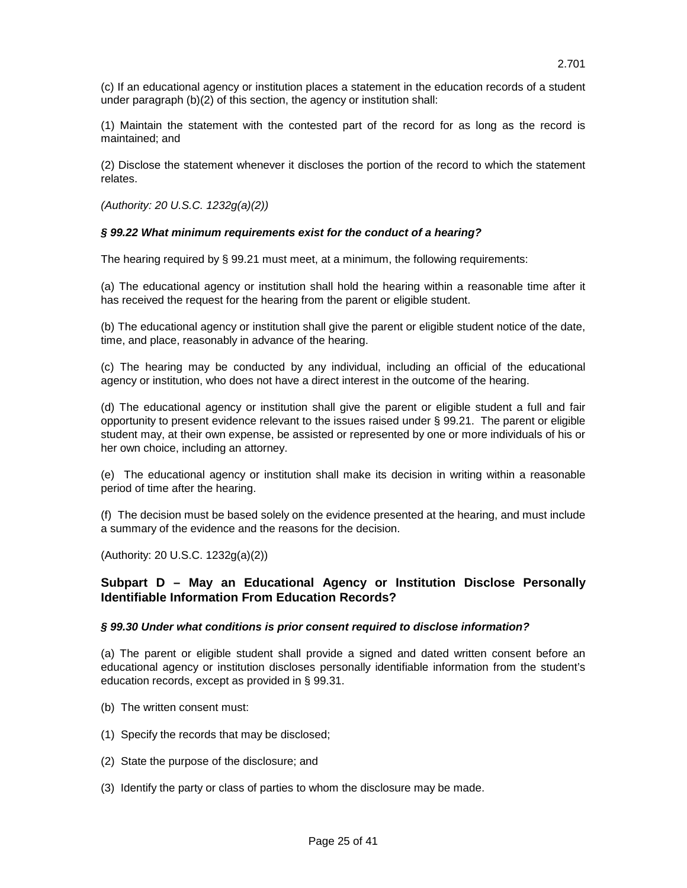(c) If an educational agency or institution places a statement in the education records of a student under paragraph (b)(2) of this section, the agency or institution shall:

(1) Maintain the statement with the contested part of the record for as long as the record is maintained; and

(2) Disclose the statement whenever it discloses the portion of the record to which the statement relates.

*(Authority: 20 U.S.C. 1232g(a)(2))*

## *§ 99.22 What minimum requirements exist for the conduct of a hearing?*

The hearing required by § 99.21 must meet, at a minimum, the following requirements:

(a) The educational agency or institution shall hold the hearing within a reasonable time after it has received the request for the hearing from the parent or eligible student.

(b) The educational agency or institution shall give the parent or eligible student notice of the date, time, and place, reasonably in advance of the hearing.

(c) The hearing may be conducted by any individual, including an official of the educational agency or institution, who does not have a direct interest in the outcome of the hearing.

(d) The educational agency or institution shall give the parent or eligible student a full and fair opportunity to present evidence relevant to the issues raised under § 99.21. The parent or eligible student may, at their own expense, be assisted or represented by one or more individuals of his or her own choice, including an attorney.

(e) The educational agency or institution shall make its decision in writing within a reasonable period of time after the hearing.

(f) The decision must be based solely on the evidence presented at the hearing, and must include a summary of the evidence and the reasons for the decision.

(Authority: 20 U.S.C. 1232g(a)(2))

# **Subpart D – May an Educational Agency or Institution Disclose Personally Identifiable Information From Education Records?**

#### *§ 99.30 Under what conditions is prior consent required to disclose information?*

(a) The parent or eligible student shall provide a signed and dated written consent before an educational agency or institution discloses personally identifiable information from the student's education records, except as provided in § 99.31.

- (b) The written consent must:
- (1) Specify the records that may be disclosed;
- (2) State the purpose of the disclosure; and
- (3) Identify the party or class of parties to whom the disclosure may be made.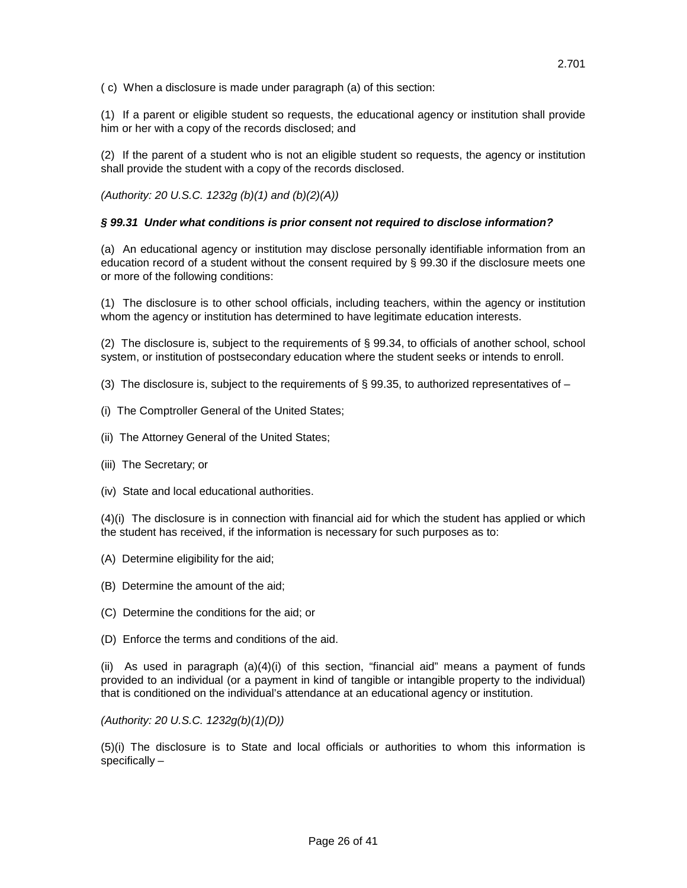( c) When a disclosure is made under paragraph (a) of this section:

(1) If a parent or eligible student so requests, the educational agency or institution shall provide him or her with a copy of the records disclosed; and

(2) If the parent of a student who is not an eligible student so requests, the agency or institution shall provide the student with a copy of the records disclosed.

*(Authority: 20 U.S.C. 1232g (b)(1) and (b)(2)(A))*

#### *§ 99.31 Under what conditions is prior consent not required to disclose information?*

(a) An educational agency or institution may disclose personally identifiable information from an education record of a student without the consent required by § 99.30 if the disclosure meets one or more of the following conditions:

(1) The disclosure is to other school officials, including teachers, within the agency or institution whom the agency or institution has determined to have legitimate education interests.

(2) The disclosure is, subject to the requirements of § 99.34, to officials of another school, school system, or institution of postsecondary education where the student seeks or intends to enroll.

- (3) The disclosure is, subject to the requirements of  $\S$  99.35, to authorized representatives of  $-$
- (i) The Comptroller General of the United States;
- (ii) The Attorney General of the United States;
- (iii) The Secretary; or
- (iv) State and local educational authorities.

(4)(i) The disclosure is in connection with financial aid for which the student has applied or which the student has received, if the information is necessary for such purposes as to:

- (A) Determine eligibility for the aid;
- (B) Determine the amount of the aid;
- (C) Determine the conditions for the aid; or
- (D) Enforce the terms and conditions of the aid.

(ii) As used in paragraph (a)(4)(i) of this section, "financial aid" means a payment of funds provided to an individual (or a payment in kind of tangible or intangible property to the individual) that is conditioned on the individual's attendance at an educational agency or institution.

*(Authority: 20 U.S.C. 1232g(b)(1)(D))*

(5)(i) The disclosure is to State and local officials or authorities to whom this information is specifically –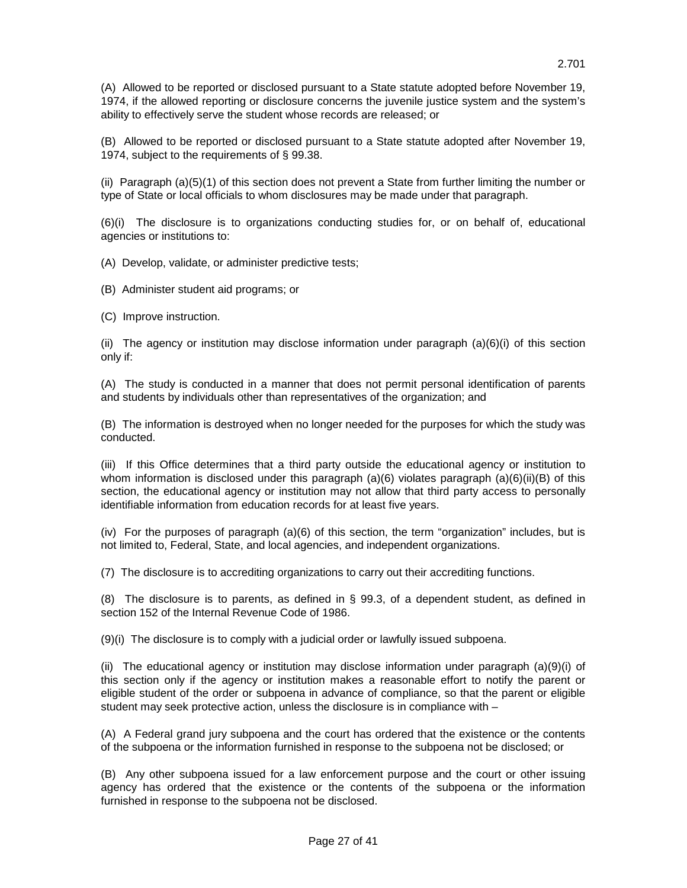(A) Allowed to be reported or disclosed pursuant to a State statute adopted before November 19, 1974, if the allowed reporting or disclosure concerns the juvenile justice system and the system's ability to effectively serve the student whose records are released; or

(B) Allowed to be reported or disclosed pursuant to a State statute adopted after November 19, 1974, subject to the requirements of § 99.38.

(ii) Paragraph (a)(5)(1) of this section does not prevent a State from further limiting the number or type of State or local officials to whom disclosures may be made under that paragraph.

(6)(i) The disclosure is to organizations conducting studies for, or on behalf of, educational agencies or institutions to:

(A) Develop, validate, or administer predictive tests;

(B) Administer student aid programs; or

(C) Improve instruction.

(ii) The agency or institution may disclose information under paragraph (a)(6)(i) of this section only if:

(A) The study is conducted in a manner that does not permit personal identification of parents and students by individuals other than representatives of the organization; and

(B) The information is destroyed when no longer needed for the purposes for which the study was conducted.

(iii) If this Office determines that a third party outside the educational agency or institution to whom information is disclosed under this paragraph (a)(6) violates paragraph (a)(6)(ii)(B) of this section, the educational agency or institution may not allow that third party access to personally identifiable information from education records for at least five years.

(iv) For the purposes of paragraph (a)(6) of this section, the term "organization" includes, but is not limited to, Federal, State, and local agencies, and independent organizations.

(7) The disclosure is to accrediting organizations to carry out their accrediting functions.

(8) The disclosure is to parents, as defined in § 99.3, of a dependent student, as defined in section 152 of the Internal Revenue Code of 1986.

(9)(i) The disclosure is to comply with a judicial order or lawfully issued subpoena.

(ii) The educational agency or institution may disclose information under paragraph (a)(9)(i) of this section only if the agency or institution makes a reasonable effort to notify the parent or eligible student of the order or subpoena in advance of compliance, so that the parent or eligible student may seek protective action, unless the disclosure is in compliance with –

(A) A Federal grand jury subpoena and the court has ordered that the existence or the contents of the subpoena or the information furnished in response to the subpoena not be disclosed; or

(B) Any other subpoena issued for a law enforcement purpose and the court or other issuing agency has ordered that the existence or the contents of the subpoena or the information furnished in response to the subpoena not be disclosed.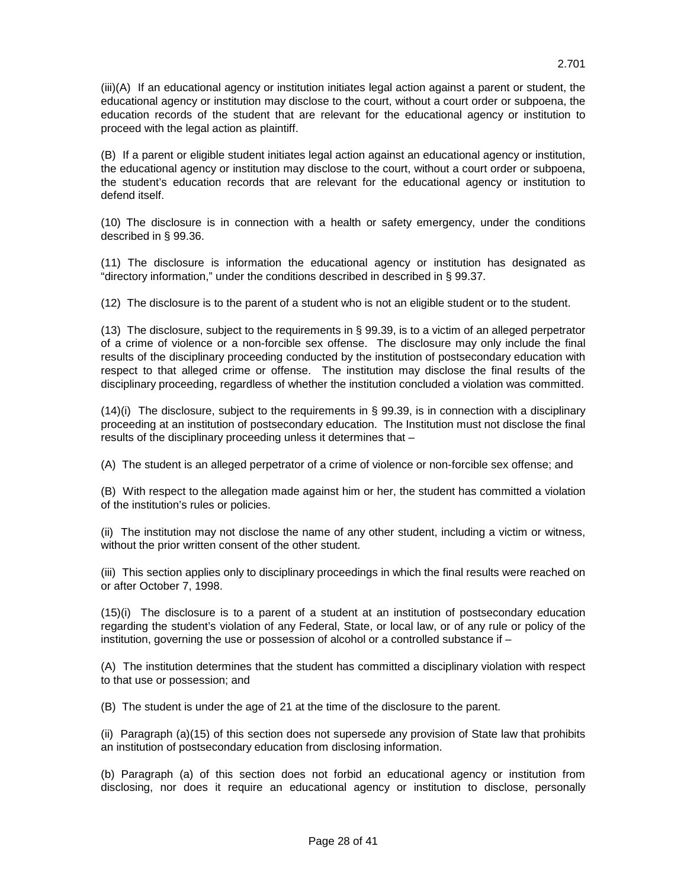(iii)(A) If an educational agency or institution initiates legal action against a parent or student, the educational agency or institution may disclose to the court, without a court order or subpoena, the education records of the student that are relevant for the educational agency or institution to proceed with the legal action as plaintiff.

(B) If a parent or eligible student initiates legal action against an educational agency or institution, the educational agency or institution may disclose to the court, without a court order or subpoena, the student's education records that are relevant for the educational agency or institution to defend itself.

(10) The disclosure is in connection with a health or safety emergency, under the conditions described in § 99.36.

(11) The disclosure is information the educational agency or institution has designated as "directory information," under the conditions described in described in § 99.37.

(12) The disclosure is to the parent of a student who is not an eligible student or to the student.

(13) The disclosure, subject to the requirements in § 99.39, is to a victim of an alleged perpetrator of a crime of violence or a non-forcible sex offense. The disclosure may only include the final results of the disciplinary proceeding conducted by the institution of postsecondary education with respect to that alleged crime or offense. The institution may disclose the final results of the disciplinary proceeding, regardless of whether the institution concluded a violation was committed.

 $(14)(i)$  The disclosure, subject to the requirements in § 99.39, is in connection with a disciplinary proceeding at an institution of postsecondary education. The Institution must not disclose the final results of the disciplinary proceeding unless it determines that –

(A) The student is an alleged perpetrator of a crime of violence or non-forcible sex offense; and

(B) With respect to the allegation made against him or her, the student has committed a violation of the institution's rules or policies.

(ii) The institution may not disclose the name of any other student, including a victim or witness, without the prior written consent of the other student.

(iii) This section applies only to disciplinary proceedings in which the final results were reached on or after October 7, 1998.

(15)(i) The disclosure is to a parent of a student at an institution of postsecondary education regarding the student's violation of any Federal, State, or local law, or of any rule or policy of the institution, governing the use or possession of alcohol or a controlled substance if –

(A) The institution determines that the student has committed a disciplinary violation with respect to that use or possession; and

(B) The student is under the age of 21 at the time of the disclosure to the parent.

(ii) Paragraph (a)(15) of this section does not supersede any provision of State law that prohibits an institution of postsecondary education from disclosing information.

(b) Paragraph (a) of this section does not forbid an educational agency or institution from disclosing, nor does it require an educational agency or institution to disclose, personally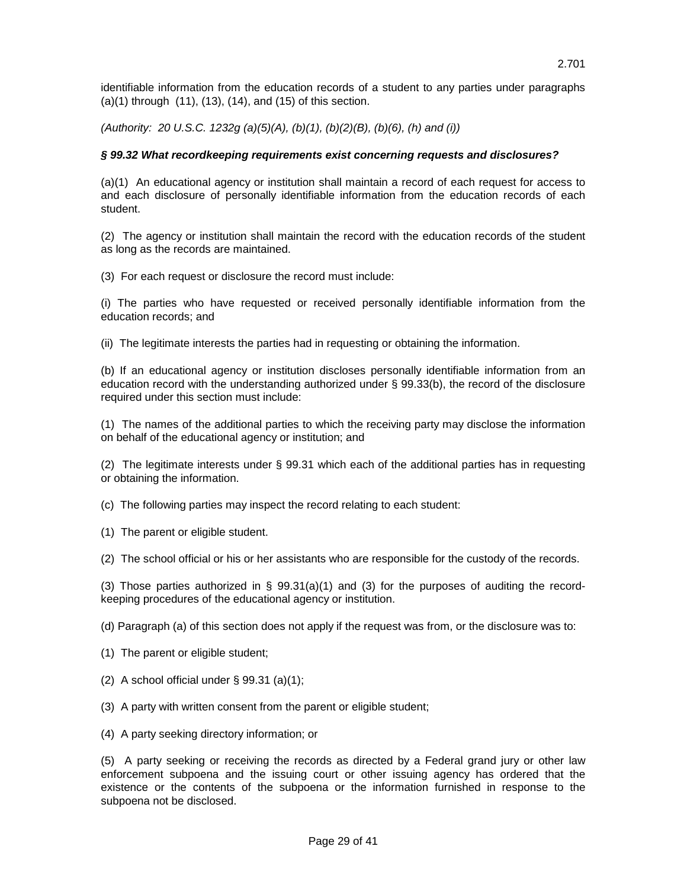identifiable information from the education records of a student to any parties under paragraphs (a)(1) through (11), (13), (14), and (15) of this section.

*(Authority: 20 U.S.C. 1232g (a)(5)(A), (b)(1), (b)(2)(B), (b)(6), (h) and (i))*

#### *§ 99.32 What recordkeeping requirements exist concerning requests and disclosures?*

(a)(1) An educational agency or institution shall maintain a record of each request for access to and each disclosure of personally identifiable information from the education records of each student.

(2) The agency or institution shall maintain the record with the education records of the student as long as the records are maintained.

(3) For each request or disclosure the record must include:

(i) The parties who have requested or received personally identifiable information from the education records; and

(ii) The legitimate interests the parties had in requesting or obtaining the information.

(b) If an educational agency or institution discloses personally identifiable information from an education record with the understanding authorized under § 99.33(b), the record of the disclosure required under this section must include:

(1) The names of the additional parties to which the receiving party may disclose the information on behalf of the educational agency or institution; and

(2) The legitimate interests under § 99.31 which each of the additional parties has in requesting or obtaining the information.

(c) The following parties may inspect the record relating to each student:

(1) The parent or eligible student.

(2) The school official or his or her assistants who are responsible for the custody of the records.

(3) Those parties authorized in §  $99.31(a)(1)$  and (3) for the purposes of auditing the recordkeeping procedures of the educational agency or institution.

(d) Paragraph (a) of this section does not apply if the request was from, or the disclosure was to:

- (1) The parent or eligible student;
- (2) A school official under  $\S$  99.31 (a)(1);
- (3) A party with written consent from the parent or eligible student;
- (4) A party seeking directory information; or

(5) A party seeking or receiving the records as directed by a Federal grand jury or other law enforcement subpoena and the issuing court or other issuing agency has ordered that the existence or the contents of the subpoena or the information furnished in response to the subpoena not be disclosed.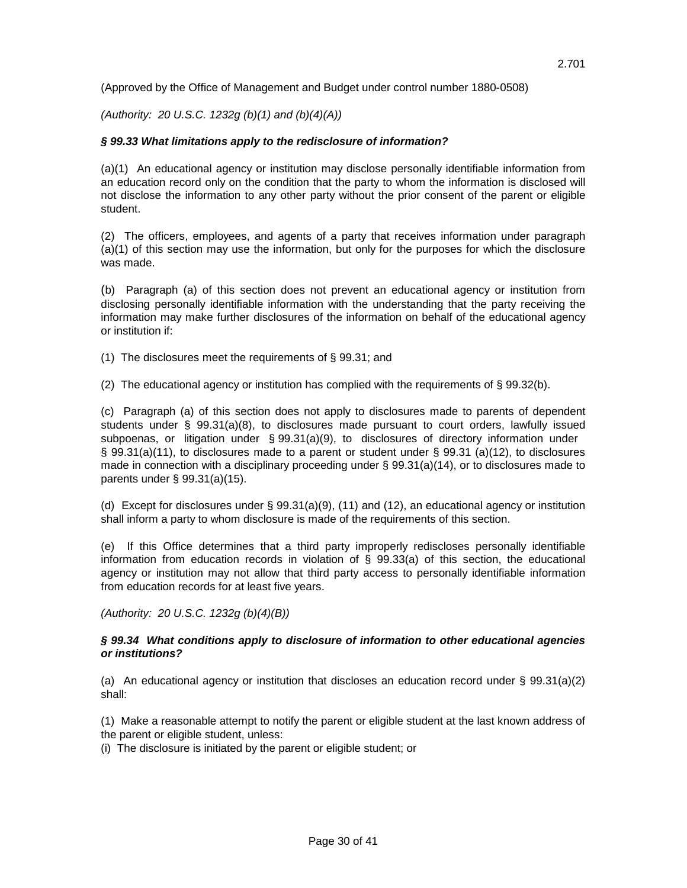(Approved by the Office of Management and Budget under control number 1880-0508)

*(Authority: 20 U.S.C. 1232g (b)(1) and (b)(4)(A))*

## *§ 99.33 What limitations apply to the redisclosure of information?*

(a)(1) An educational agency or institution may disclose personally identifiable information from an education record only on the condition that the party to whom the information is disclosed will not disclose the information to any other party without the prior consent of the parent or eligible student.

(2) The officers, employees, and agents of a party that receives information under paragraph (a)(1) of this section may use the information, but only for the purposes for which the disclosure was made.

(b) Paragraph (a) of this section does not prevent an educational agency or institution from disclosing personally identifiable information with the understanding that the party receiving the information may make further disclosures of the information on behalf of the educational agency or institution if:

(1) The disclosures meet the requirements of § 99.31; and

(2) The educational agency or institution has complied with the requirements of § 99.32(b).

(c) Paragraph (a) of this section does not apply to disclosures made to parents of dependent students under § 99.31(a)(8), to disclosures made pursuant to court orders, lawfully issued subpoenas, or litigation under § 99.31(a)(9), to disclosures of directory information under § 99.31(a)(11), to disclosures made to a parent or student under § 99.31 (a)(12), to disclosures made in connection with a disciplinary proceeding under § 99.31(a)(14), or to disclosures made to parents under § 99.31(a)(15).

(d) Except for disclosures under § 99.31(a)(9), (11) and (12), an educational agency or institution shall inform a party to whom disclosure is made of the requirements of this section.

(e) If this Office determines that a third party improperly rediscloses personally identifiable information from education records in violation of  $\S$  99.33(a) of this section, the educational agency or institution may not allow that third party access to personally identifiable information from education records for at least five years.

*(Authority: 20 U.S.C. 1232g (b)(4)(B))*

## *§ 99.34 What conditions apply to disclosure of information to other educational agencies or institutions?*

(a) An educational agency or institution that discloses an education record under § 99.31(a)(2) shall:

(1) Make a reasonable attempt to notify the parent or eligible student at the last known address of the parent or eligible student, unless:

(i) The disclosure is initiated by the parent or eligible student; or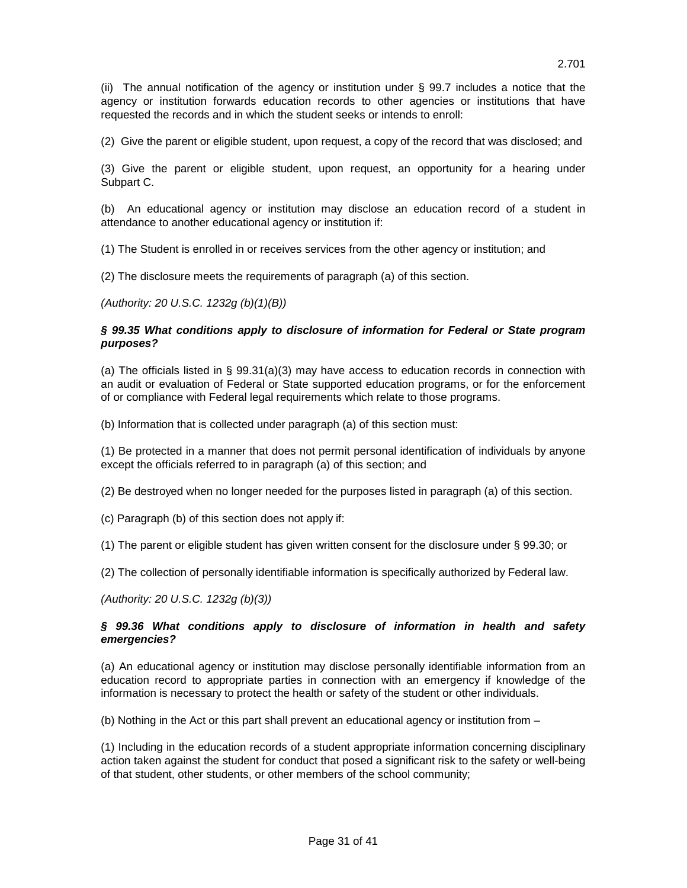(ii) The annual notification of the agency or institution under  $\S$  99.7 includes a notice that the agency or institution forwards education records to other agencies or institutions that have requested the records and in which the student seeks or intends to enroll:

(2) Give the parent or eligible student, upon request, a copy of the record that was disclosed; and

(3) Give the parent or eligible student, upon request, an opportunity for a hearing under Subpart C.

(b) An educational agency or institution may disclose an education record of a student in attendance to another educational agency or institution if:

(1) The Student is enrolled in or receives services from the other agency or institution; and

(2) The disclosure meets the requirements of paragraph (a) of this section.

*(Authority: 20 U.S.C. 1232g (b)(1)(B))*

## *§ 99.35 What conditions apply to disclosure of information for Federal or State program purposes?*

(a) The officials listed in § 99.31(a)(3) may have access to education records in connection with an audit or evaluation of Federal or State supported education programs, or for the enforcement of or compliance with Federal legal requirements which relate to those programs.

(b) Information that is collected under paragraph (a) of this section must:

(1) Be protected in a manner that does not permit personal identification of individuals by anyone except the officials referred to in paragraph (a) of this section; and

(2) Be destroyed when no longer needed for the purposes listed in paragraph (a) of this section.

(c) Paragraph (b) of this section does not apply if:

(1) The parent or eligible student has given written consent for the disclosure under § 99.30; or

(2) The collection of personally identifiable information is specifically authorized by Federal law.

*(Authority: 20 U.S.C. 1232g (b)(3))*

## *§ 99.36 What conditions apply to disclosure of information in health and safety emergencies?*

(a) An educational agency or institution may disclose personally identifiable information from an education record to appropriate parties in connection with an emergency if knowledge of the information is necessary to protect the health or safety of the student or other individuals.

(b) Nothing in the Act or this part shall prevent an educational agency or institution from –

(1) Including in the education records of a student appropriate information concerning disciplinary action taken against the student for conduct that posed a significant risk to the safety or well-being of that student, other students, or other members of the school community;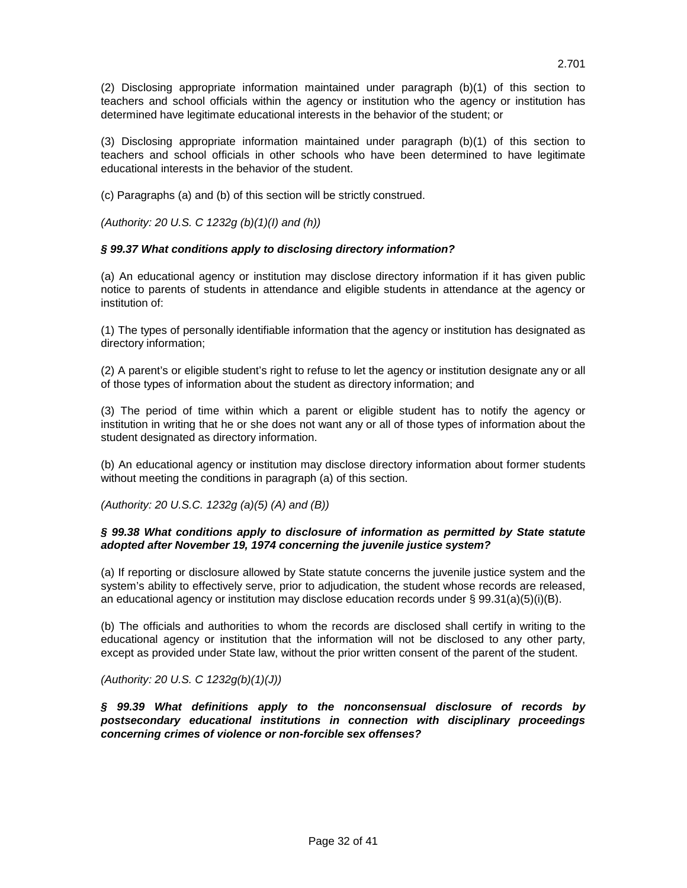(2) Disclosing appropriate information maintained under paragraph (b)(1) of this section to teachers and school officials within the agency or institution who the agency or institution has determined have legitimate educational interests in the behavior of the student; or

(3) Disclosing appropriate information maintained under paragraph (b)(1) of this section to teachers and school officials in other schools who have been determined to have legitimate educational interests in the behavior of the student.

(c) Paragraphs (a) and (b) of this section will be strictly construed.

*(Authority: 20 U.S. C 1232g (b)(1)(I) and (h))*

# *§ 99.37 What conditions apply to disclosing directory information?*

(a) An educational agency or institution may disclose directory information if it has given public notice to parents of students in attendance and eligible students in attendance at the agency or institution of:

(1) The types of personally identifiable information that the agency or institution has designated as directory information;

(2) A parent's or eligible student's right to refuse to let the agency or institution designate any or all of those types of information about the student as directory information; and

(3) The period of time within which a parent or eligible student has to notify the agency or institution in writing that he or she does not want any or all of those types of information about the student designated as directory information.

(b) An educational agency or institution may disclose directory information about former students without meeting the conditions in paragraph (a) of this section.

*(Authority: 20 U.S.C. 1232g (a)(5) (A) and (B))*

## *§ 99.38 What conditions apply to disclosure of information as permitted by State statute adopted after November 19, 1974 concerning the juvenile justice system?*

(a) If reporting or disclosure allowed by State statute concerns the juvenile justice system and the system's ability to effectively serve, prior to adjudication, the student whose records are released, an educational agency or institution may disclose education records under § 99.31(a)(5)(i)(B).

(b) The officials and authorities to whom the records are disclosed shall certify in writing to the educational agency or institution that the information will not be disclosed to any other party, except as provided under State law, without the prior written consent of the parent of the student.

*(Authority: 20 U.S. C 1232g(b)(1)(J))*

*§ 99.39 What definitions apply to the nonconsensual disclosure of records by postsecondary educational institutions in connection with disciplinary proceedings concerning crimes of violence or non-forcible sex offenses?*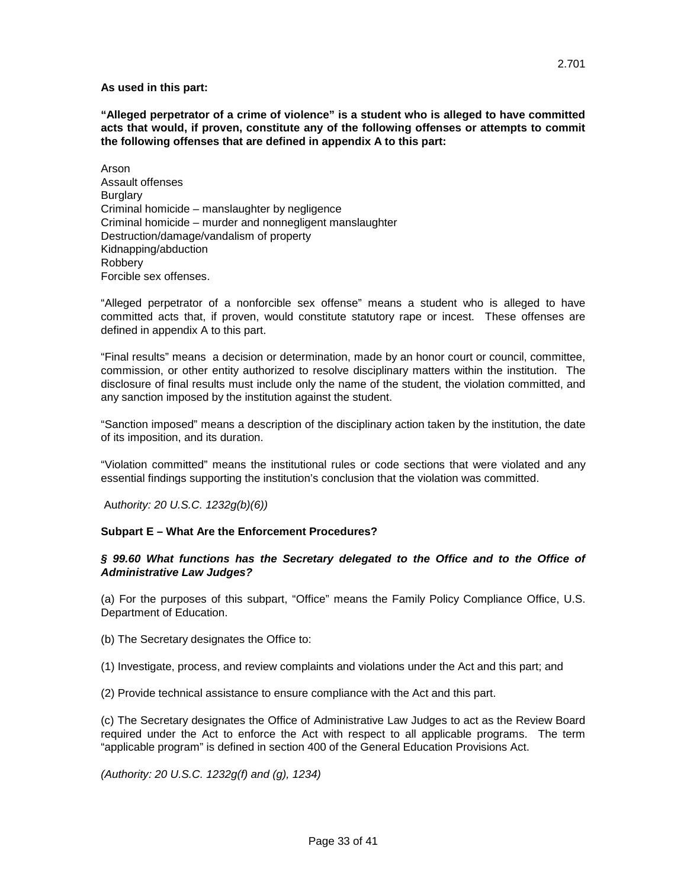#### **As used in this part:**

**"Alleged perpetrator of a crime of violence" is a student who is alleged to have committed acts that would, if proven, constitute any of the following offenses or attempts to commit the following offenses that are defined in appendix A to this part:**

Arson Assault offenses **Burglary** Criminal homicide – manslaughter by negligence Criminal homicide – murder and nonnegligent manslaughter Destruction/damage/vandalism of property Kidnapping/abduction Robbery Forcible sex offenses.

"Alleged perpetrator of a nonforcible sex offense" means a student who is alleged to have committed acts that, if proven, would constitute statutory rape or incest. These offenses are defined in appendix A to this part.

"Final results" means a decision or determination, made by an honor court or council, committee, commission, or other entity authorized to resolve disciplinary matters within the institution. The disclosure of final results must include only the name of the student, the violation committed, and any sanction imposed by the institution against the student.

"Sanction imposed" means a description of the disciplinary action taken by the institution, the date of its imposition, and its duration.

"Violation committed" means the institutional rules or code sections that were violated and any essential findings supporting the institution's conclusion that the violation was committed.

Au*thority: 20 U.S.C. 1232g(b)(6))*

#### **Subpart E – What Are the Enforcement Procedures?**

## *§ 99.60 What functions has the Secretary delegated to the Office and to the Office of Administrative Law Judges?*

(a) For the purposes of this subpart, "Office" means the Family Policy Compliance Office, U.S. Department of Education.

(b) The Secretary designates the Office to:

(1) Investigate, process, and review complaints and violations under the Act and this part; and

(2) Provide technical assistance to ensure compliance with the Act and this part.

(c) The Secretary designates the Office of Administrative Law Judges to act as the Review Board required under the Act to enforce the Act with respect to all applicable programs. The term "applicable program" is defined in section 400 of the General Education Provisions Act.

*(Authority: 20 U.S.C. 1232g(f) and (g), 1234)*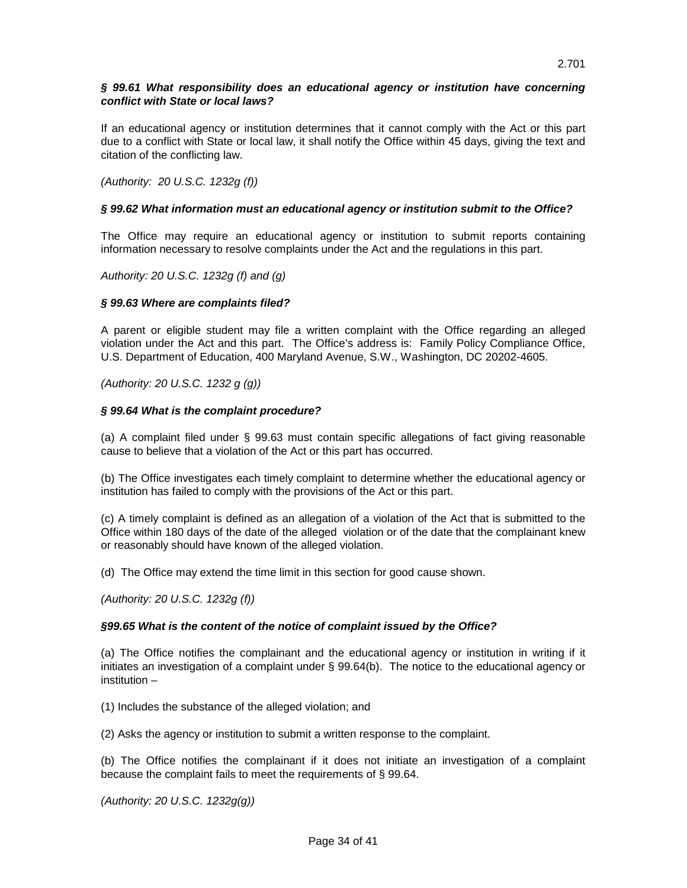# *§ 99.61 What responsibility does an educational agency or institution have concerning conflict with State or local laws?*

If an educational agency or institution determines that it cannot comply with the Act or this part due to a conflict with State or local law, it shall notify the Office within 45 days, giving the text and citation of the conflicting law.

*(Authority: 20 U.S.C. 1232g (f))*

## *§ 99.62 What information must an educational agency or institution submit to the Office?*

The Office may require an educational agency or institution to submit reports containing information necessary to resolve complaints under the Act and the regulations in this part.

*Authority: 20 U.S.C. 1232g (f) and (g)*

## *§ 99.63 Where are complaints filed?*

A parent or eligible student may file a written complaint with the Office regarding an alleged violation under the Act and this part. The Office's address is: Family Policy Compliance Office, U.S. Department of Education, 400 Maryland Avenue, S.W., Washington, DC 20202-4605.

*(Authority: 20 U.S.C. 1232 g (g))*

## *§ 99.64 What is the complaint procedure?*

(a) A complaint filed under § 99.63 must contain specific allegations of fact giving reasonable cause to believe that a violation of the Act or this part has occurred.

(b) The Office investigates each timely complaint to determine whether the educational agency or institution has failed to comply with the provisions of the Act or this part.

(c) A timely complaint is defined as an allegation of a violation of the Act that is submitted to the Office within 180 days of the date of the alleged violation or of the date that the complainant knew or reasonably should have known of the alleged violation.

(d) The Office may extend the time limit in this section for good cause shown.

*(Authority: 20 U.S.C. 1232g (f))*

#### *§99.65 What is the content of the notice of complaint issued by the Office?*

(a) The Office notifies the complainant and the educational agency or institution in writing if it initiates an investigation of a complaint under § 99.64(b). The notice to the educational agency or institution –

(1) Includes the substance of the alleged violation; and

(2) Asks the agency or institution to submit a written response to the complaint.

(b) The Office notifies the complainant if it does not initiate an investigation of a complaint because the complaint fails to meet the requirements of § 99.64.

*(Authority: 20 U.S.C. 1232g(g))*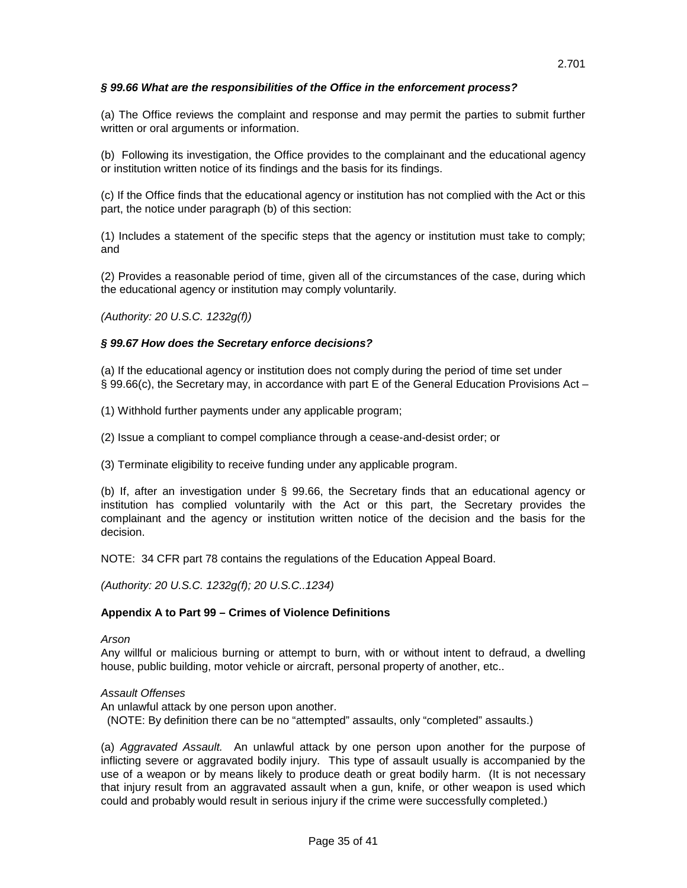# *§ 99.66 What are the responsibilities of the Office in the enforcement process?*

(a) The Office reviews the complaint and response and may permit the parties to submit further written or oral arguments or information.

(b) Following its investigation, the Office provides to the complainant and the educational agency or institution written notice of its findings and the basis for its findings.

(c) If the Office finds that the educational agency or institution has not complied with the Act or this part, the notice under paragraph (b) of this section:

(1) Includes a statement of the specific steps that the agency or institution must take to comply; and

(2) Provides a reasonable period of time, given all of the circumstances of the case, during which the educational agency or institution may comply voluntarily.

*(Authority: 20 U.S.C. 1232g(f))*

## *§ 99.67 How does the Secretary enforce decisions?*

(a) If the educational agency or institution does not comply during the period of time set under § 99.66(c), the Secretary may, in accordance with part E of the General Education Provisions Act –

(1) Withhold further payments under any applicable program;

(2) Issue a compliant to compel compliance through a cease-and-desist order; or

(3) Terminate eligibility to receive funding under any applicable program.

(b) If, after an investigation under § 99.66, the Secretary finds that an educational agency or institution has complied voluntarily with the Act or this part, the Secretary provides the complainant and the agency or institution written notice of the decision and the basis for the decision.

NOTE: 34 CFR part 78 contains the regulations of the Education Appeal Board.

*(Authority: 20 U.S.C. 1232g(f); 20 U.S.C..1234)*

#### **Appendix A to Part 99 – Crimes of Violence Definitions**

#### *Arson*

Any willful or malicious burning or attempt to burn, with or without intent to defraud, a dwelling house, public building, motor vehicle or aircraft, personal property of another, etc..

#### *Assault Offenses*

An unlawful attack by one person upon another.

(NOTE: By definition there can be no "attempted" assaults, only "completed" assaults.)

(a) *Aggravated Assault.* An unlawful attack by one person upon another for the purpose of inflicting severe or aggravated bodily injury. This type of assault usually is accompanied by the use of a weapon or by means likely to produce death or great bodily harm. (It is not necessary that injury result from an aggravated assault when a gun, knife, or other weapon is used which could and probably would result in serious injury if the crime were successfully completed.)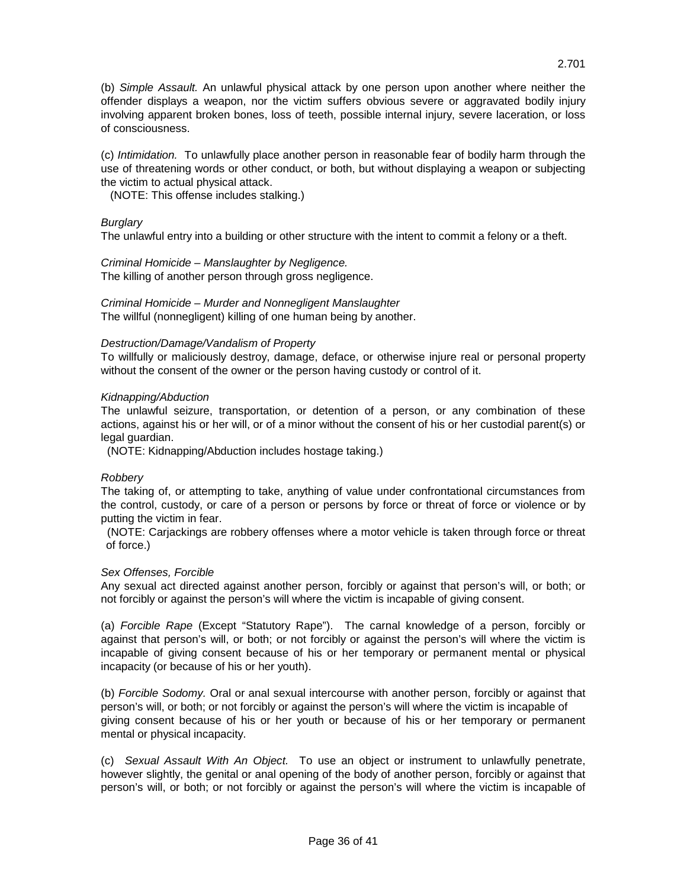(b) *Simple Assault.* An unlawful physical attack by one person upon another where neither the offender displays a weapon, nor the victim suffers obvious severe or aggravated bodily injury involving apparent broken bones, loss of teeth, possible internal injury, severe laceration, or loss of consciousness.

(c) *Intimidation.* To unlawfully place another person in reasonable fear of bodily harm through the use of threatening words or other conduct, or both, but without displaying a weapon or subjecting the victim to actual physical attack.

(NOTE: This offense includes stalking.)

## *Burglary*

The unlawful entry into a building or other structure with the intent to commit a felony or a theft.

*Criminal Homicide – Manslaughter by Negligence.* The killing of another person through gross negligence.

*Criminal Homicide – Murder and Nonnegligent Manslaughter* The willful (nonnegligent) killing of one human being by another.

#### *Destruction/Damage/Vandalism of Property*

To willfully or maliciously destroy, damage, deface, or otherwise injure real or personal property without the consent of the owner or the person having custody or control of it.

## *Kidnapping/Abduction*

The unlawful seizure, transportation, or detention of a person, or any combination of these actions, against his or her will, or of a minor without the consent of his or her custodial parent(s) or legal guardian.

(NOTE: Kidnapping/Abduction includes hostage taking.)

# *Robbery*

The taking of, or attempting to take, anything of value under confrontational circumstances from the control, custody, or care of a person or persons by force or threat of force or violence or by putting the victim in fear.

 (NOTE: Carjackings are robbery offenses where a motor vehicle is taken through force or threat of force.)

#### *Sex Offenses, Forcible*

Any sexual act directed against another person, forcibly or against that person's will, or both; or not forcibly or against the person's will where the victim is incapable of giving consent.

(a) *Forcible Rape* (Except "Statutory Rape"). The carnal knowledge of a person, forcibly or against that person's will, or both; or not forcibly or against the person's will where the victim is incapable of giving consent because of his or her temporary or permanent mental or physical incapacity (or because of his or her youth).

(b) *Forcible Sodomy.* Oral or anal sexual intercourse with another person, forcibly or against that person's will, or both; or not forcibly or against the person's will where the victim is incapable of giving consent because of his or her youth or because of his or her temporary or permanent mental or physical incapacity.

(c) *Sexual Assault With An Object.* To use an object or instrument to unlawfully penetrate, however slightly, the genital or anal opening of the body of another person, forcibly or against that person's will, or both; or not forcibly or against the person's will where the victim is incapable of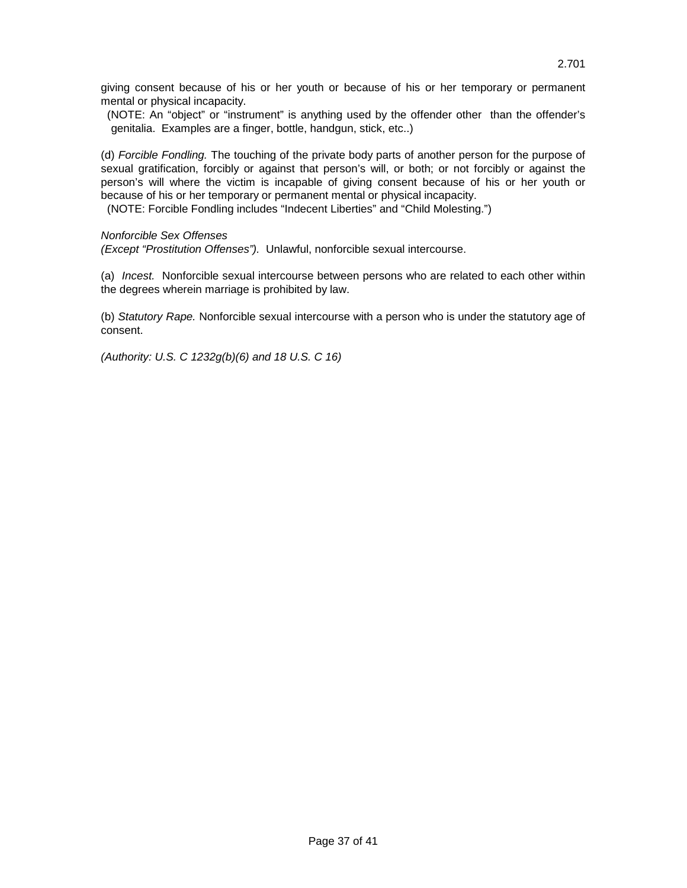giving consent because of his or her youth or because of his or her temporary or permanent mental or physical incapacity.

 (NOTE: An "object" or "instrument" is anything used by the offender other than the offender's genitalia. Examples are a finger, bottle, handgun, stick, etc..)

(d) *Forcible Fondling.* The touching of the private body parts of another person for the purpose of sexual gratification, forcibly or against that person's will, or both; or not forcibly or against the person's will where the victim is incapable of giving consent because of his or her youth or because of his or her temporary or permanent mental or physical incapacity.

(NOTE: Forcible Fondling includes "Indecent Liberties" and "Child Molesting.")

#### *Nonforcible Sex Offenses*

*(Except "Prostitution Offenses").* Unlawful, nonforcible sexual intercourse.

(a) *Incest.* Nonforcible sexual intercourse between persons who are related to each other within the degrees wherein marriage is prohibited by law.

(b) *Statutory Rape.* Nonforcible sexual intercourse with a person who is under the statutory age of consent.

*(Authority: U.S. C 1232g(b)(6) and 18 U.S. C 16)*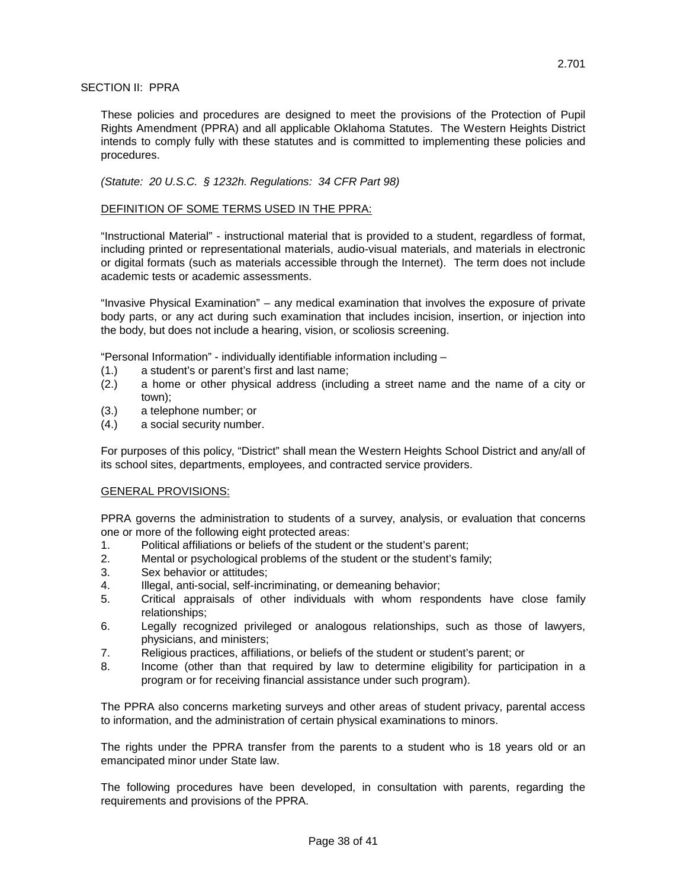## SECTION II: PPRA

These policies and procedures are designed to meet the provisions of the Protection of Pupil Rights Amendment (PPRA) and all applicable Oklahoma Statutes. The Western Heights District intends to comply fully with these statutes and is committed to implementing these policies and procedures.

#### *(Statute: 20 U.S.C. § 1232h. Regulations: 34 CFR Part 98)*

#### DEFINITION OF SOME TERMS USED IN THE PPRA:

"Instructional Material" - instructional material that is provided to a student, regardless of format, including printed or representational materials, audio-visual materials, and materials in electronic or digital formats (such as materials accessible through the Internet). The term does not include academic tests or academic assessments.

"Invasive Physical Examination" – any medical examination that involves the exposure of private body parts, or any act during such examination that includes incision, insertion, or injection into the body, but does not include a hearing, vision, or scoliosis screening.

"Personal Information" - individually identifiable information including –

- (1.) a student's or parent's first and last name;
- (2.) a home or other physical address (including a street name and the name of a city or town);
- (3.) a telephone number; or
- (4.) a social security number.

For purposes of this policy, "District" shall mean the Western Heights School District and any/all of its school sites, departments, employees, and contracted service providers.

#### GENERAL PROVISIONS:

PPRA governs the administration to students of a survey, analysis, or evaluation that concerns one or more of the following eight protected areas:

- 1. Political affiliations or beliefs of the student or the student's parent;
- 2. Mental or psychological problems of the student or the student's family;
- 3. Sex behavior or attitudes;
- 4. Illegal, anti-social, self-incriminating, or demeaning behavior;
- 5. Critical appraisals of other individuals with whom respondents have close family relationships;
- 6. Legally recognized privileged or analogous relationships, such as those of lawyers, physicians, and ministers;
- 7. Religious practices, affiliations, or beliefs of the student or student's parent; or
- 8. Income (other than that required by law to determine eligibility for participation in a program or for receiving financial assistance under such program).

The PPRA also concerns marketing surveys and other areas of student privacy, parental access to information, and the administration of certain physical examinations to minors.

The rights under the PPRA transfer from the parents to a student who is 18 years old or an emancipated minor under State law.

The following procedures have been developed, in consultation with parents, regarding the requirements and provisions of the PPRA.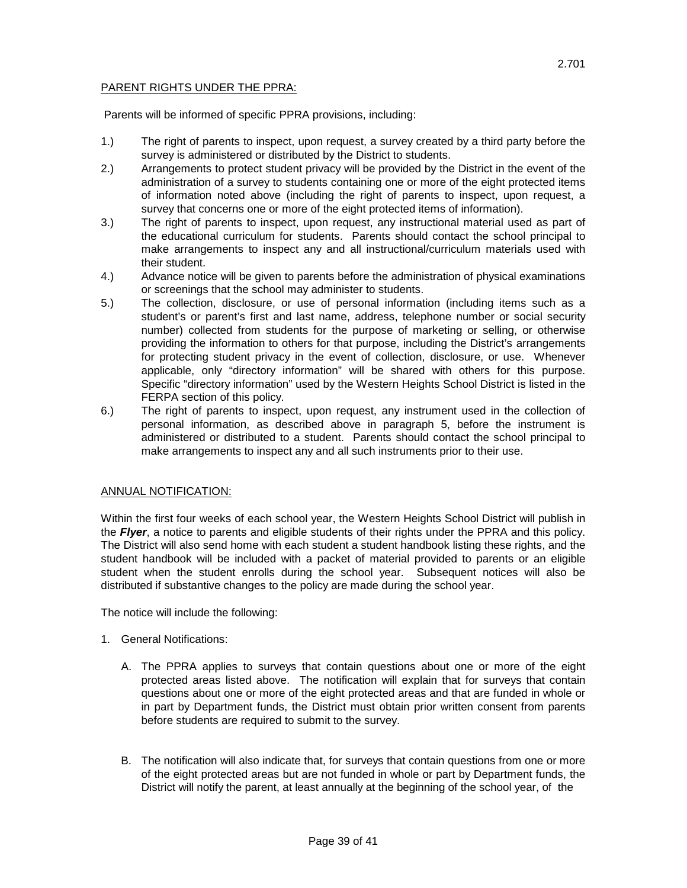## PARENT RIGHTS UNDER THE PPRA:

Parents will be informed of specific PPRA provisions, including:

- 1.) The right of parents to inspect, upon request, a survey created by a third party before the survey is administered or distributed by the District to students.
- 2.) Arrangements to protect student privacy will be provided by the District in the event of the administration of a survey to students containing one or more of the eight protected items of information noted above (including the right of parents to inspect, upon request, a survey that concerns one or more of the eight protected items of information).
- 3.) The right of parents to inspect, upon request, any instructional material used as part of the educational curriculum for students. Parents should contact the school principal to make arrangements to inspect any and all instructional/curriculum materials used with their student.
- 4.) Advance notice will be given to parents before the administration of physical examinations or screenings that the school may administer to students.
- 5.) The collection, disclosure, or use of personal information (including items such as a student's or parent's first and last name, address, telephone number or social security number) collected from students for the purpose of marketing or selling, or otherwise providing the information to others for that purpose, including the District's arrangements for protecting student privacy in the event of collection, disclosure, or use. Whenever applicable, only "directory information" will be shared with others for this purpose. Specific "directory information" used by the Western Heights School District is listed in the FERPA section of this policy.
- 6.) The right of parents to inspect, upon request, any instrument used in the collection of personal information, as described above in paragraph 5, before the instrument is administered or distributed to a student. Parents should contact the school principal to make arrangements to inspect any and all such instruments prior to their use.

#### ANNUAL NOTIFICATION:

Within the first four weeks of each school year, the Western Heights School District will publish in the *Flyer*, a notice to parents and eligible students of their rights under the PPRA and this policy. The District will also send home with each student a student handbook listing these rights, and the student handbook will be included with a packet of material provided to parents or an eligible student when the student enrolls during the school year. Subsequent notices will also be distributed if substantive changes to the policy are made during the school year.

The notice will include the following:

- 1. General Notifications:
	- A. The PPRA applies to surveys that contain questions about one or more of the eight protected areas listed above. The notification will explain that for surveys that contain questions about one or more of the eight protected areas and that are funded in whole or in part by Department funds, the District must obtain prior written consent from parents before students are required to submit to the survey.
	- B. The notification will also indicate that, for surveys that contain questions from one or more of the eight protected areas but are not funded in whole or part by Department funds, the District will notify the parent, at least annually at the beginning of the school year, of the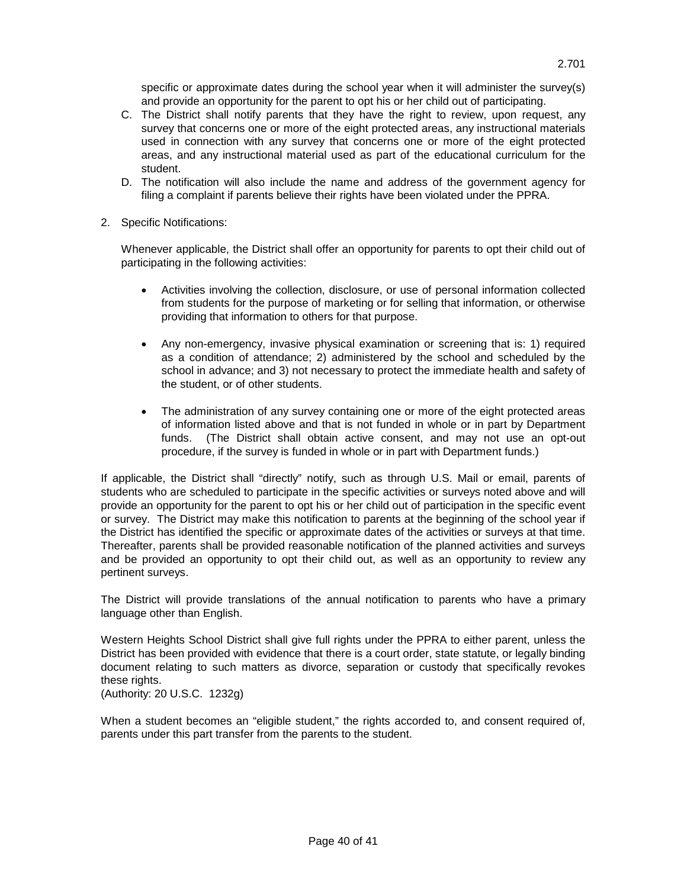specific or approximate dates during the school year when it will administer the survey(s) and provide an opportunity for the parent to opt his or her child out of participating.

- C. The District shall notify parents that they have the right to review, upon request, any survey that concerns one or more of the eight protected areas, any instructional materials used in connection with any survey that concerns one or more of the eight protected areas, and any instructional material used as part of the educational curriculum for the student.
- D. The notification will also include the name and address of the government agency for filing a complaint if parents believe their rights have been violated under the PPRA.
- 2. Specific Notifications:

Whenever applicable, the District shall offer an opportunity for parents to opt their child out of participating in the following activities:

- Activities involving the collection, disclosure, or use of personal information collected from students for the purpose of marketing or for selling that information, or otherwise providing that information to others for that purpose.
- Any non-emergency, invasive physical examination or screening that is: 1) required as a condition of attendance; 2) administered by the school and scheduled by the school in advance; and 3) not necessary to protect the immediate health and safety of the student, or of other students.
- The administration of any survey containing one or more of the eight protected areas of information listed above and that is not funded in whole or in part by Department funds. (The District shall obtain active consent, and may not use an opt-out procedure, if the survey is funded in whole or in part with Department funds.)

If applicable, the District shall "directly" notify, such as through U.S. Mail or email, parents of students who are scheduled to participate in the specific activities or surveys noted above and will provide an opportunity for the parent to opt his or her child out of participation in the specific event or survey. The District may make this notification to parents at the beginning of the school year if the District has identified the specific or approximate dates of the activities or surveys at that time. Thereafter, parents shall be provided reasonable notification of the planned activities and surveys and be provided an opportunity to opt their child out, as well as an opportunity to review any pertinent surveys.

The District will provide translations of the annual notification to parents who have a primary language other than English.

Western Heights School District shall give full rights under the PPRA to either parent, unless the District has been provided with evidence that there is a court order, state statute, or legally binding document relating to such matters as divorce, separation or custody that specifically revokes these rights.

(Authority: 20 U.S.C. 1232g)

When a student becomes an "eligible student," the rights accorded to, and consent required of, parents under this part transfer from the parents to the student.